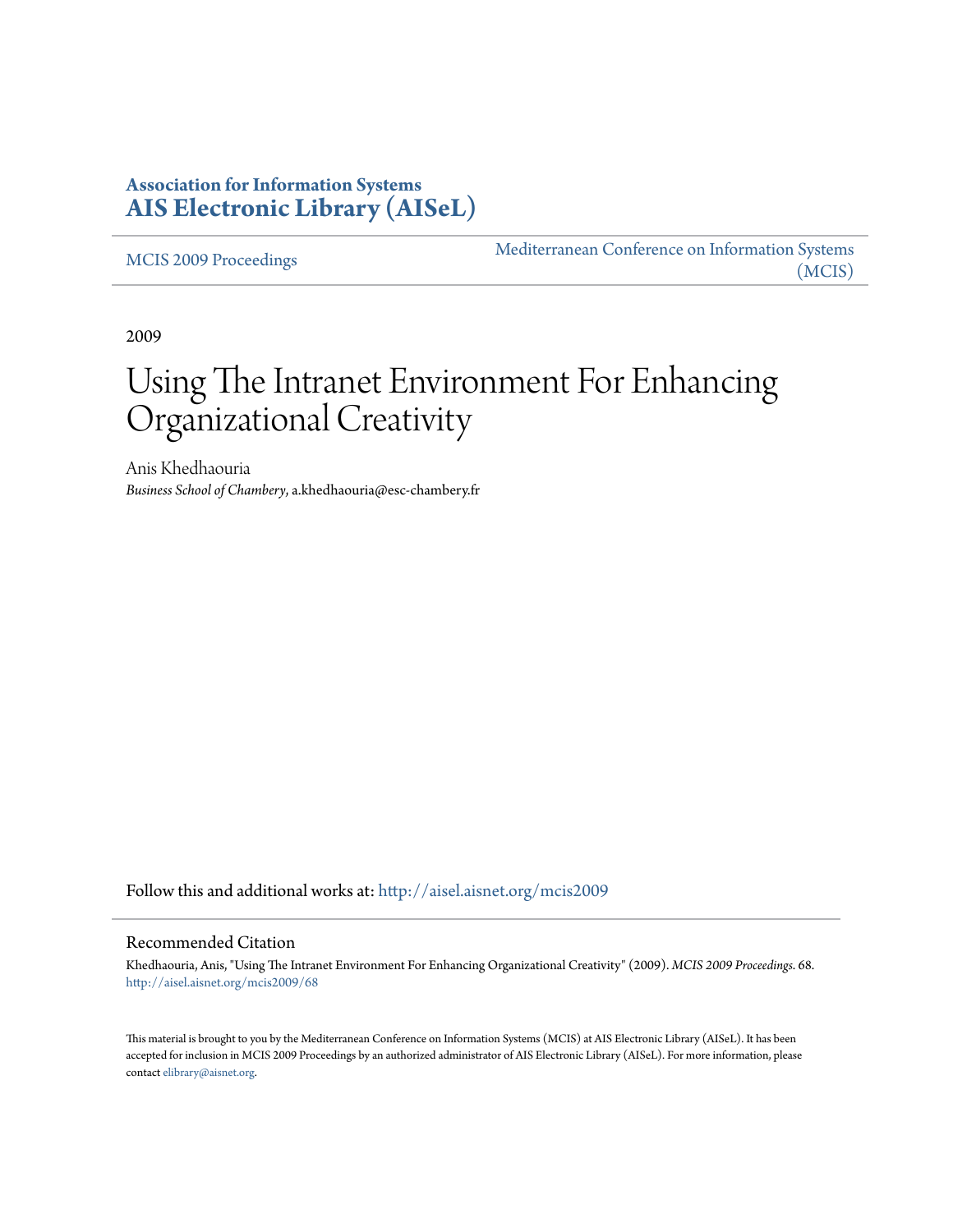# **Association for Information Systems [AIS Electronic Library \(AISeL\)](http://aisel.aisnet.org?utm_source=aisel.aisnet.org%2Fmcis2009%2F68&utm_medium=PDF&utm_campaign=PDFCoverPages)**

[MCIS 2009 Proceedings](http://aisel.aisnet.org/mcis2009?utm_source=aisel.aisnet.org%2Fmcis2009%2F68&utm_medium=PDF&utm_campaign=PDFCoverPages)

[Mediterranean Conference on Information Systems](http://aisel.aisnet.org/mcis?utm_source=aisel.aisnet.org%2Fmcis2009%2F68&utm_medium=PDF&utm_campaign=PDFCoverPages) [\(MCIS\)](http://aisel.aisnet.org/mcis?utm_source=aisel.aisnet.org%2Fmcis2009%2F68&utm_medium=PDF&utm_campaign=PDFCoverPages)

2009

# Using The Intranet Environment For Enhancing Organizational Creativity

Anis Khedhaouria *Business School of Chambery*, a.khedhaouria@esc-chambery.fr

Follow this and additional works at: [http://aisel.aisnet.org/mcis2009](http://aisel.aisnet.org/mcis2009?utm_source=aisel.aisnet.org%2Fmcis2009%2F68&utm_medium=PDF&utm_campaign=PDFCoverPages)

#### Recommended Citation

Khedhaouria, Anis, "Using The Intranet Environment For Enhancing Organizational Creativity" (2009). *MCIS 2009 Proceedings*. 68. [http://aisel.aisnet.org/mcis2009/68](http://aisel.aisnet.org/mcis2009/68?utm_source=aisel.aisnet.org%2Fmcis2009%2F68&utm_medium=PDF&utm_campaign=PDFCoverPages)

This material is brought to you by the Mediterranean Conference on Information Systems (MCIS) at AIS Electronic Library (AISeL). It has been accepted for inclusion in MCIS 2009 Proceedings by an authorized administrator of AIS Electronic Library (AISeL). For more information, please contact [elibrary@aisnet.org.](mailto:elibrary@aisnet.org%3E)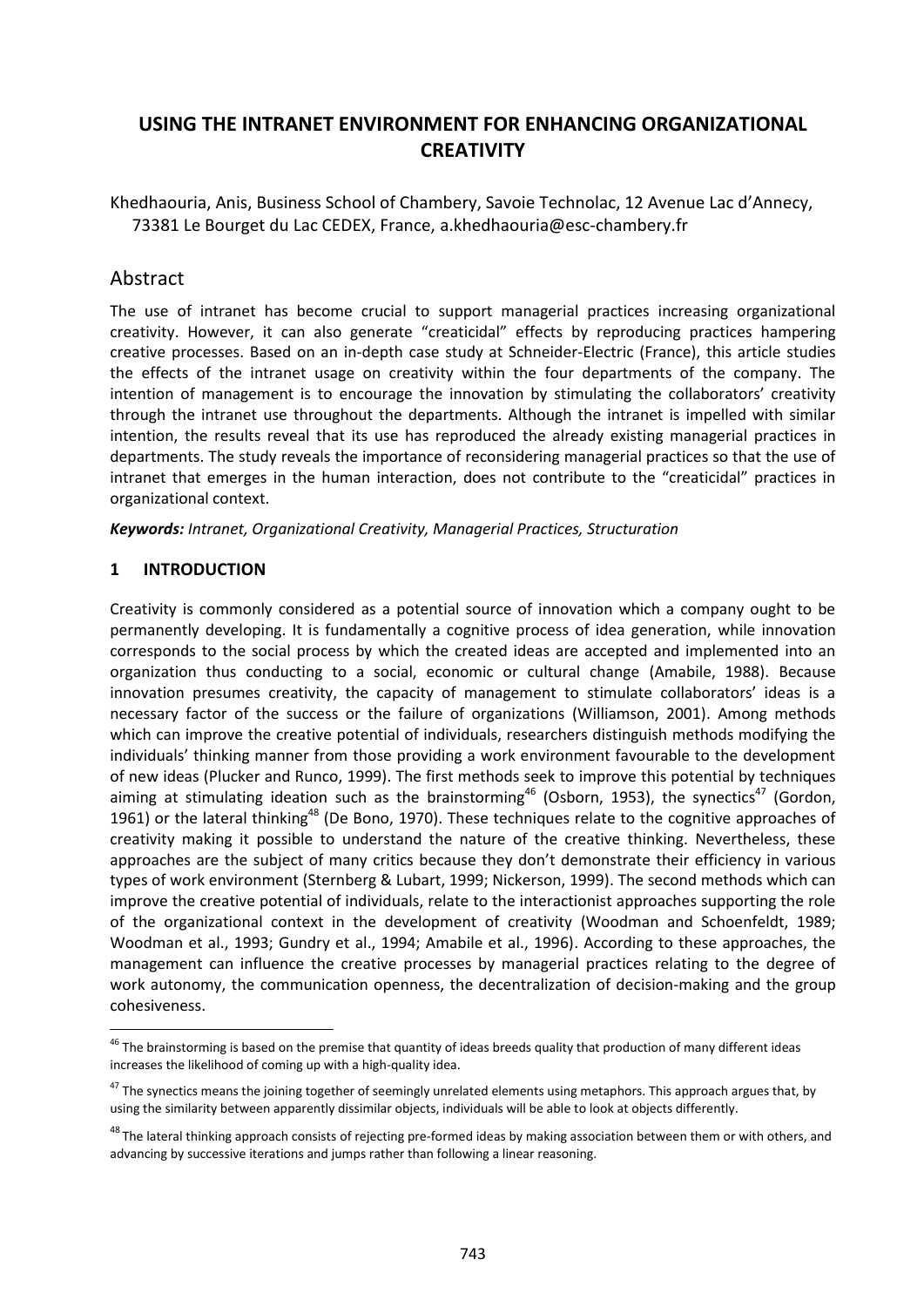# **USING THE INTRANET ENVIRONMENT FOR ENHANCING ORGANIZATIONAL CREATIVITY**

Khedhaouria, Anis, Business School of Chambery, Savoie Technolac, 12 Avenue Lac d'Annecy, 73381 Le Bourget du Lac CEDEX, France, [a.khedhaouria@esc-chambery.fr](mailto:a.khedhaouria@esc-chambery.fr)

# Abstract

The use of intranet has become crucial to support managerial practices increasing organizational creativity. However, it can also generate "creaticidal" effects by reproducing practices hampering creative processes. Based on an in-depth case study at Schneider-Electric (France), this article studies the effects of the intranet usage on creativity within the four departments of the company. The intention of management is to encourage the innovation by stimulating the collaborators' creativity through the intranet use throughout the departments. Although the intranet is impelled with similar intention, the results reveal that its use has reproduced the already existing managerial practices in departments. The study reveals the importance of reconsidering managerial practices so that the use of intranet that emerges in the human interaction, does not contribute to the "creaticidal" practices in organizational context.

*Keywords: Intranet, Organizational Creativity, Managerial Practices, Structuration*

### **1 INTRODUCTION**

Creativity is commonly considered as a potential source of innovation which a company ought to be permanently developing. It is fundamentally a cognitive process of idea generation, while innovation corresponds to the social process by which the created ideas are accepted and implemented into an organization thus conducting to a social, economic or cultural change (Amabile, 1988). Because innovation presumes creativity, the capacity of management to stimulate collaborators' ideas is a necessary factor of the success or the failure of organizations (Williamson, 2001). Among methods which can improve the creative potential of individuals, researchers distinguish methods modifying the individuals' thinking manner from those providing a work environment favourable to the development of new ideas (Plucker and Runco, 1999). The first methods seek to improve this potential by techniques aiming at stimulating ideation such as the brainstorming<sup>46</sup> (Osborn, 1953), the synectics<sup>47</sup> (Gordon, 1961) or the lateral thinking<sup>48</sup> (De Bono, 1970). These techniques relate to the cognitive approaches of creativity making it possible to understand the nature of the creative thinking. Nevertheless, these approaches are the subject of many critics because they don't demonstrate their efficiency in various types of work environment (Sternberg & Lubart, 1999; Nickerson, 1999). The second methods which can improve the creative potential of individuals, relate to the interactionist approaches supporting the role of the organizational context in the development of creativity (Woodman and Schoenfeldt, 1989; Woodman et al., 1993; Gundry et al., 1994; Amabile et al., 1996). According to these approaches, the management can influence the creative processes by managerial practices relating to the degree of work autonomy, the communication openness, the decentralization of decision-making and the group cohesiveness.

<sup>&</sup>lt;sup>46</sup> The brainstorming is based on the premise that quantity of ideas breeds quality that production of many different ideas increases the likelihood of coming up with a high-quality idea.

<sup>&</sup>lt;sup>47</sup> The synectics means the joining together of seemingly unrelated elements using metaphors. This approach argues that, by using the similarity between apparently dissimilar objects, individuals will be able to look at objects differently.

<sup>&</sup>lt;sup>48</sup> The lateral thinking approach consists of rejecting pre-formed ideas by making association between them or with others, and advancing by successive iterations and jumps rather than following a linear reasoning.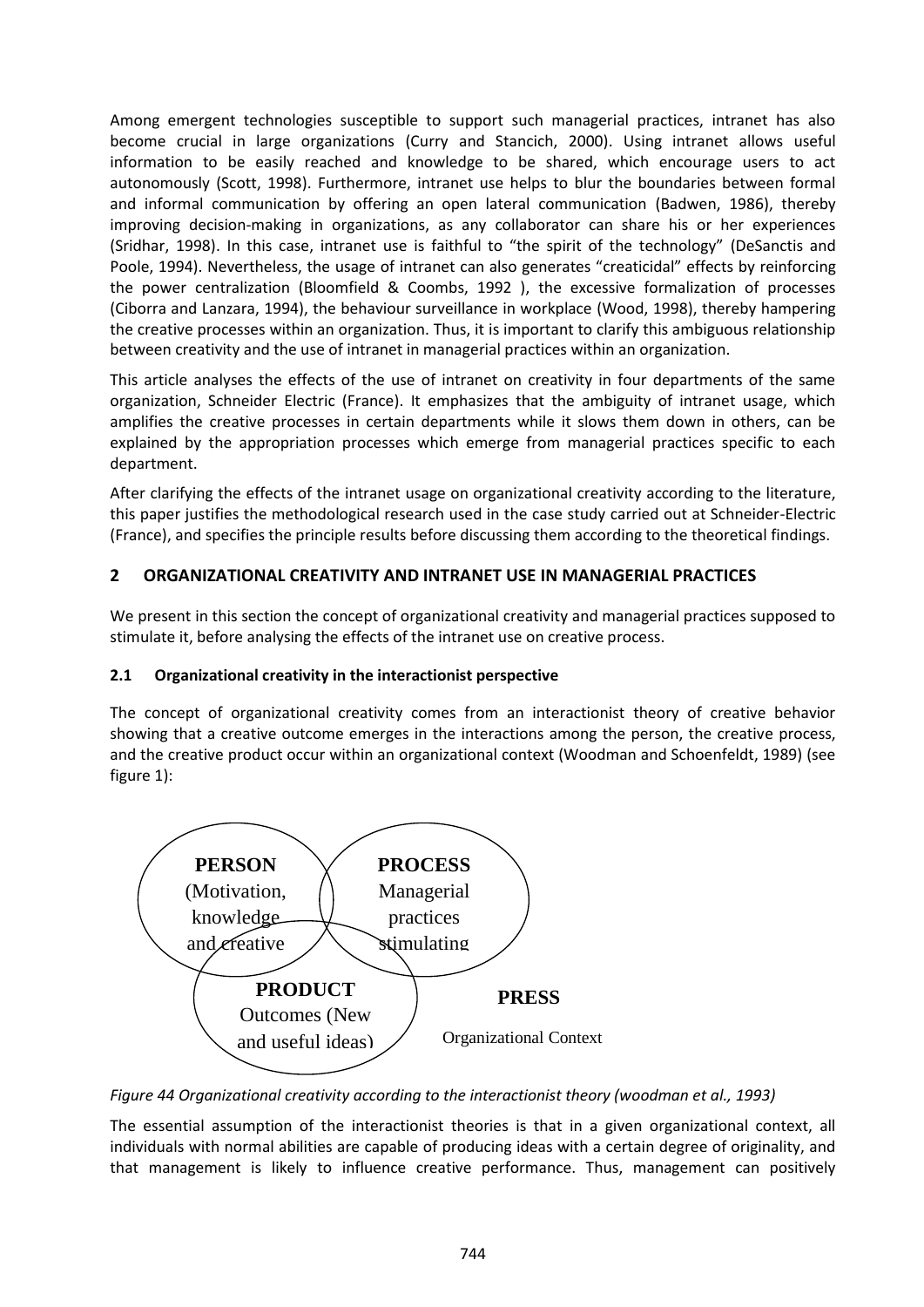Among emergent technologies susceptible to support such managerial practices, intranet has also become crucial in large organizations (Curry and Stancich, 2000). Using intranet allows useful information to be easily reached and knowledge to be shared, which encourage users to act autonomously (Scott, 1998). Furthermore, intranet use helps to blur the boundaries between formal and informal communication by offering an open lateral communication (Badwen, 1986), thereby improving decision-making in organizations, as any collaborator can share his or her experiences (Sridhar, 1998). In this case, intranet use is faithful to "the spirit of the technology" (DeSanctis and Poole, 1994). Nevertheless, the usage of intranet can also generates "creaticidal" effects by reinforcing the power centralization (Bloomfield & Coombs, 1992 ), the excessive formalization of processes (Ciborra and Lanzara, 1994), the behaviour surveillance in workplace (Wood, 1998), thereby hampering the creative processes within an organization. Thus, it is important to clarify this ambiguous relationship between creativity and the use of intranet in managerial practices within an organization.

This article analyses the effects of the use of intranet on creativity in four departments of the same organization, Schneider Electric (France). It emphasizes that the ambiguity of intranet usage, which amplifies the creative processes in certain departments while it slows them down in others, can be explained by the appropriation processes which emerge from managerial practices specific to each department.

After clarifying the effects of the intranet usage on organizational creativity according to the literature, this paper justifies the methodological research used in the case study carried out at Schneider-Electric (France), and specifies the principle results before discussing them according to the theoretical findings.

# **2 ORGANIZATIONAL CREATIVITY AND INTRANET USE IN MANAGERIAL PRACTICES**

We present in this section the concept of organizational creativity and managerial practices supposed to stimulate it, before analysing the effects of the intranet use on creative process.

### **2.1 Organizational creativity in the interactionist perspective**

The concept of organizational creativity comes from an interactionist theory of creative behavior showing that a creative outcome emerges in the interactions among the person, the creative process, and the creative product occur within an organizational context (Woodman and Schoenfeldt, 1989) (see figure 1):



*Figure 44 Organizational creativity according to the interactionist theory (woodman et al., 1993)*

The essential assumption of the interactionist theories is that in a given organizational context, all individuals with normal abilities are capable of producing ideas with a certain degree of originality, and that management is likely to influence creative performance. Thus, management can positively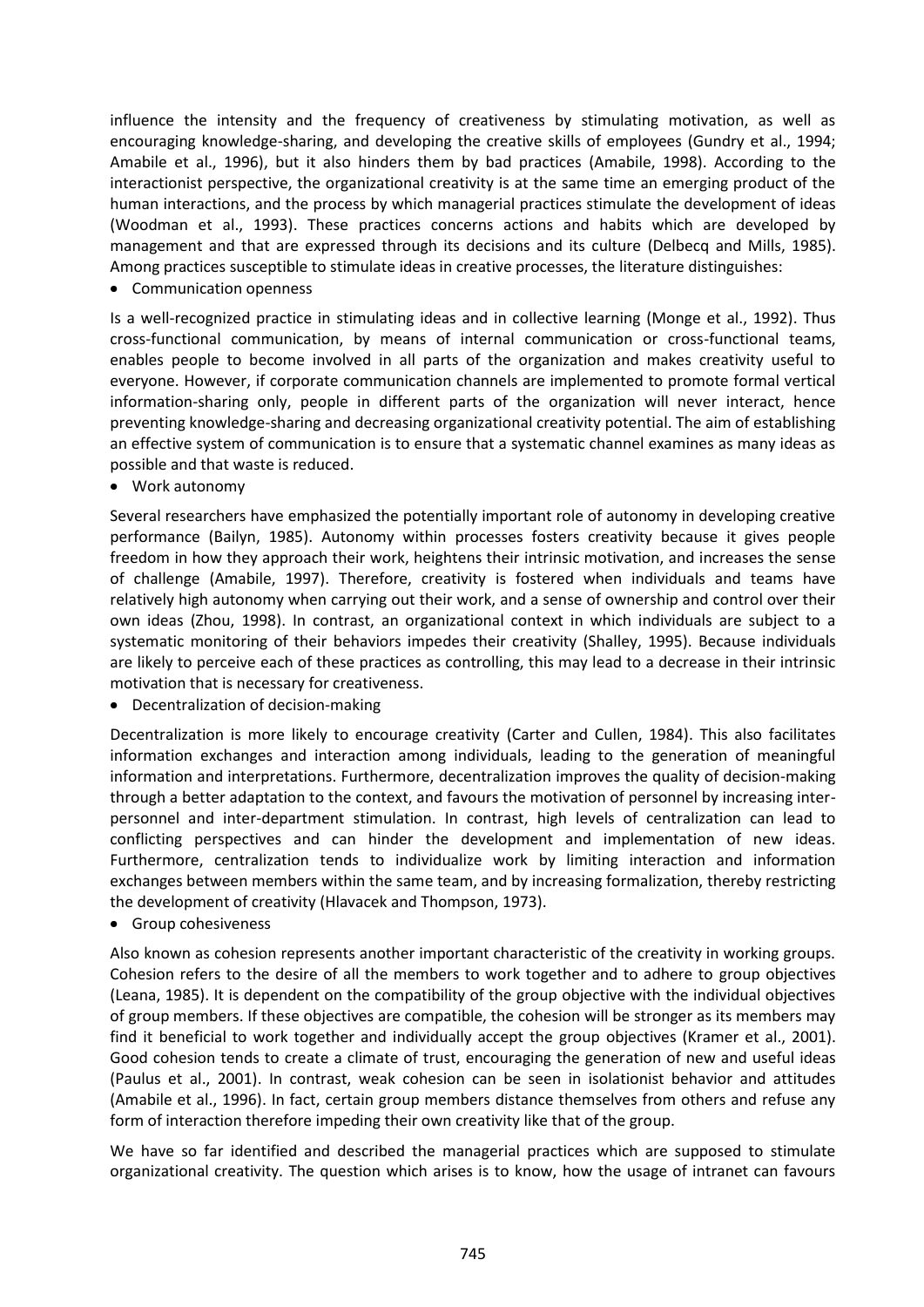influence the intensity and the frequency of creativeness by stimulating motivation, as well as encouraging knowledge-sharing, and developing the creative skills of employees (Gundry et al., 1994; Amabile et al., 1996), but it also hinders them by bad practices (Amabile, 1998). According to the interactionist perspective, the organizational creativity is at the same time an emerging product of the human interactions, and the process by which managerial practices stimulate the development of ideas (Woodman et al., 1993). These practices concerns actions and habits which are developed by management and that are expressed through its decisions and its culture (Delbecq and Mills, 1985). Among practices susceptible to stimulate ideas in creative processes, the literature distinguishes:

• Communication openness

Is a well-recognized practice in stimulating ideas and in collective learning (Monge et al., 1992). Thus cross-functional communication, by means of internal communication or cross-functional teams, enables people to become involved in all parts of the organization and makes creativity useful to everyone. However, if corporate communication channels are implemented to promote formal vertical information-sharing only, people in different parts of the organization will never interact, hence preventing knowledge-sharing and decreasing organizational creativity potential. The aim of establishing an effective system of communication is to ensure that a systematic channel examines as many ideas as possible and that waste is reduced.

Work autonomy

Several researchers have emphasized the potentially important role of autonomy in developing creative performance (Bailyn, 1985). Autonomy within processes fosters creativity because it gives people freedom in how they approach their work, heightens their intrinsic motivation, and increases the sense of challenge (Amabile, 1997). Therefore, creativity is fostered when individuals and teams have relatively high autonomy when carrying out their work, and a sense of ownership and control over their own ideas (Zhou, 1998). In contrast, an organizational context in which individuals are subject to a systematic monitoring of their behaviors impedes their creativity (Shalley, 1995). Because individuals are likely to perceive each of these practices as controlling, this may lead to a decrease in their intrinsic motivation that is necessary for creativeness.

Decentralization of decision-making

Decentralization is more likely to encourage creativity (Carter and Cullen, 1984). This also facilitates information exchanges and interaction among individuals, leading to the generation of meaningful information and interpretations. Furthermore, decentralization improves the quality of decision-making through a better adaptation to the context, and favours the motivation of personnel by increasing interpersonnel and inter-department stimulation. In contrast, high levels of centralization can lead to conflicting perspectives and can hinder the development and implementation of new ideas. Furthermore, centralization tends to individualize work by limiting interaction and information exchanges between members within the same team, and by increasing formalization, thereby restricting the development of creativity (Hlavacek and Thompson, 1973).

• Group cohesiveness

Also known as cohesion represents another important characteristic of the creativity in working groups. Cohesion refers to the desire of all the members to work together and to adhere to group objectives (Leana, 1985). It is dependent on the compatibility of the group objective with the individual objectives of group members. If these objectives are compatible, the cohesion will be stronger as its members may find it beneficial to work together and individually accept the group objectives (Kramer et al., 2001). Good cohesion tends to create a climate of trust, encouraging the generation of new and useful ideas (Paulus et al., 2001). In contrast, weak cohesion can be seen in isolationist behavior and attitudes (Amabile et al., 1996). In fact, certain group members distance themselves from others and refuse any form of interaction therefore impeding their own creativity like that of the group.

We have so far identified and described the managerial practices which are supposed to stimulate organizational creativity. The question which arises is to know, how the usage of intranet can favours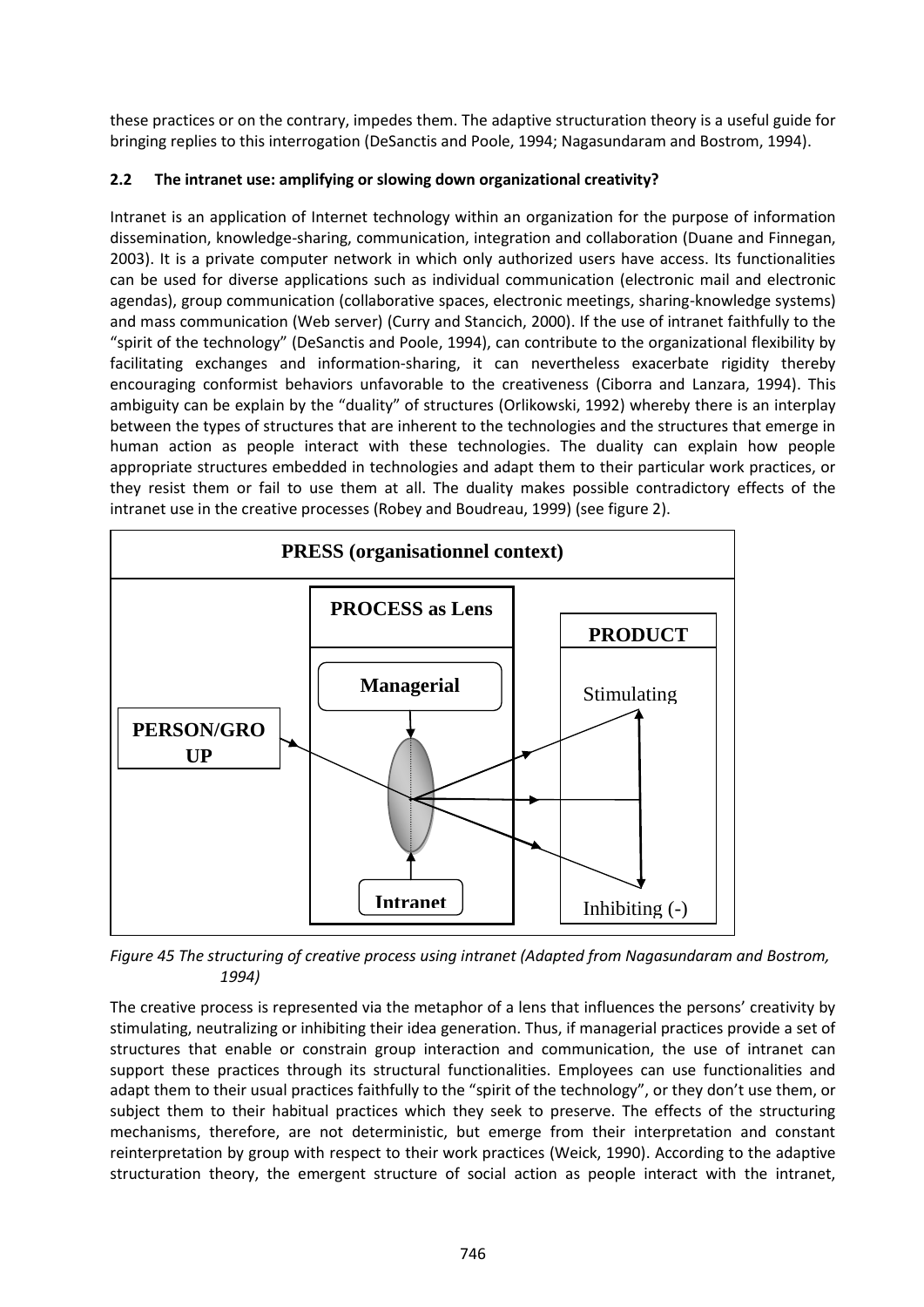these practices or on the contrary, impedes them. The adaptive structuration theory is a useful guide for bringing replies to this interrogation (DeSanctis and Poole, 1994; Nagasundaram and Bostrom, 1994).

# **2.2 The intranet use: amplifying or slowing down organizational creativity?**

Intranet is an application of Internet technology within an organization for the purpose of information dissemination, knowledge-sharing, communication, integration and collaboration (Duane and Finnegan, 2003). It is a private computer network in which only authorized users have access. Its functionalities can be used for diverse applications such as individual communication (electronic mail and electronic agendas), group communication (collaborative spaces, electronic meetings, sharing-knowledge systems) and mass communication (Web server) (Curry and Stancich, 2000). If the use of intranet faithfully to the "spirit of the technology" (DeSanctis and Poole, 1994), can contribute to the organizational flexibility by facilitating exchanges and information-sharing, it can nevertheless exacerbate rigidity thereby encouraging conformist behaviors unfavorable to the creativeness (Ciborra and Lanzara, 1994). This ambiguity can be explain by the "duality" of structures (Orlikowski, 1992) whereby there is an interplay between the types of structures that are inherent to the technologies and the structures that emerge in human action as people interact with these technologies. The duality can explain how people appropriate structures embedded in technologies and adapt them to their particular work practices, or they resist them or fail to use them at all. The duality makes possible contradictory effects of the intranet use in the creative processes (Robey and Boudreau, 1999) (see figure 2).



*Figure 45 The structuring of creative process using intranet (Adapted from Nagasundaram and Bostrom, 1994)*

The creative process is represented via the metaphor of a lens that influences the persons' creativity by stimulating, neutralizing or inhibiting their idea generation. Thus, if managerial practices provide a set of structures that enable or constrain group interaction and communication, the use of intranet can support these practices through its structural functionalities. Employees can use functionalities and adapt them to their usual practices faithfully to the "spirit of the technology", or they don't use them, or subject them to their habitual practices which they seek to preserve. The effects of the structuring mechanisms, therefore, are not deterministic, but emerge from their interpretation and constant reinterpretation by group with respect to their work practices (Weick, 1990). According to the adaptive structuration theory, the emergent structure of social action as people interact with the intranet,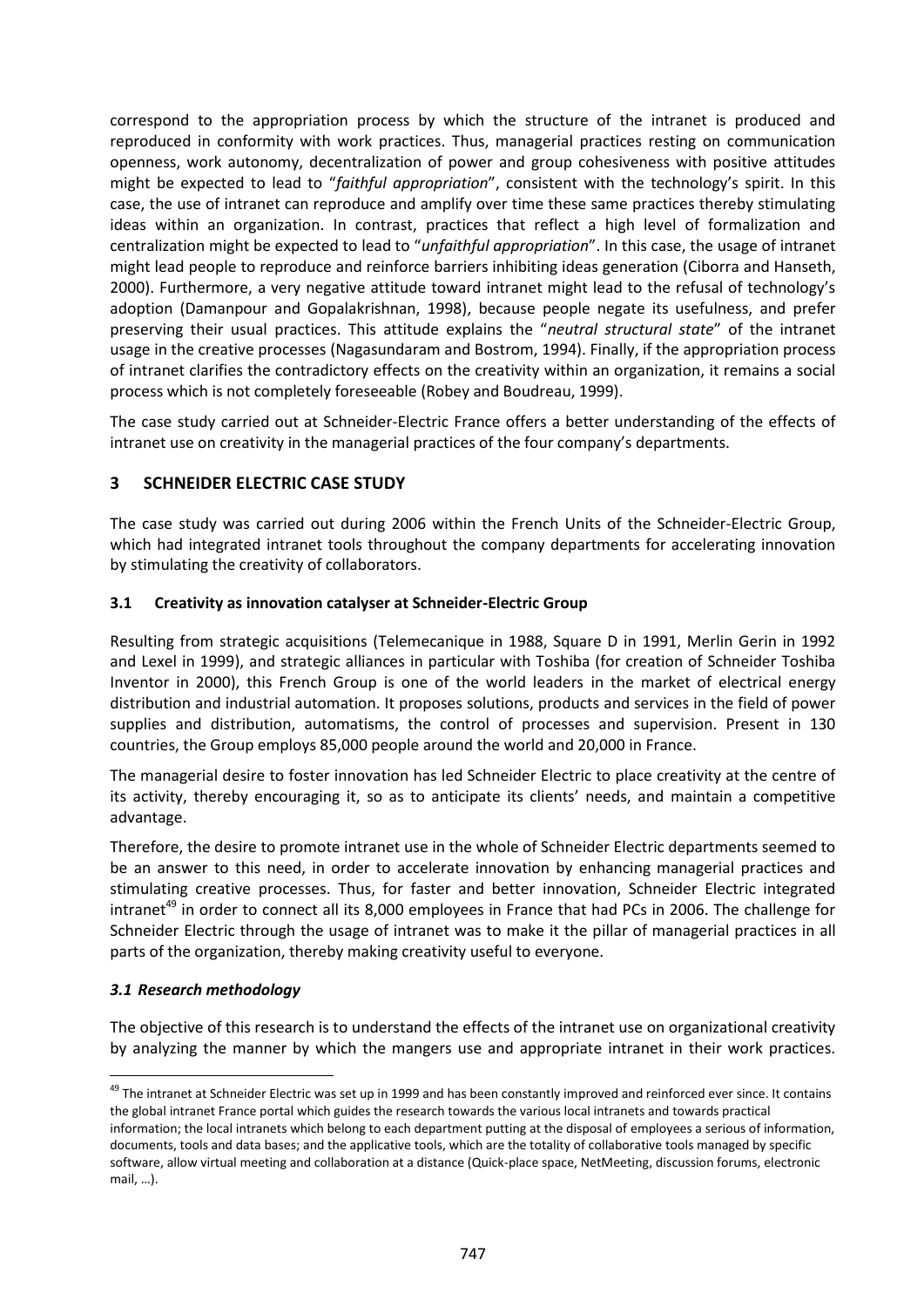correspond to the appropriation process by which the structure of the intranet is produced and reproduced in conformity with work practices. Thus, managerial practices resting on communication openness, work autonomy, decentralization of power and group cohesiveness with positive attitudes might be expected to lead to "*faithful appropriation*", consistent with the technology's spirit. In this case, the use of intranet can reproduce and amplify over time these same practices thereby stimulating ideas within an organization. In contrast, practices that reflect a high level of formalization and centralization might be expected to lead to "*unfaithful appropriation*". In this case, the usage of intranet might lead people to reproduce and reinforce barriers inhibiting ideas generation (Ciborra and Hanseth, 2000). Furthermore, a very negative attitude toward intranet might lead to the refusal of technology's adoption (Damanpour and Gopalakrishnan, 1998), because people negate its usefulness, and prefer preserving their usual practices. This attitude explains the "*neutral structural state*" of the intranet usage in the creative processes (Nagasundaram and Bostrom, 1994). Finally, if the appropriation process of intranet clarifies the contradictory effects on the creativity within an organization, it remains a social process which is not completely foreseeable (Robey and Boudreau, 1999).

The case study carried out at Schneider-Electric France offers a better understanding of the effects of intranet use on creativity in the managerial practices of the four company's departments.

## **3 SCHNEIDER ELECTRIC CASE STUDY**

The case study was carried out during 2006 within the French Units of the Schneider-Electric Group, which had integrated intranet tools throughout the company departments for accelerating innovation by stimulating the creativity of collaborators.

### **3.1 Creativity as innovation catalyser at Schneider-Electric Group**

Resulting from strategic acquisitions (Telemecanique in 1988, Square D in 1991, Merlin Gerin in 1992 and Lexel in 1999), and strategic alliances in particular with Toshiba (for creation of Schneider Toshiba Inventor in 2000), this French Group is one of the world leaders in the market of electrical energy distribution and industrial automation. It proposes solutions, products and services in the field of power supplies and distribution, automatisms, the control of processes and supervision. Present in 130 countries, the Group employs 85,000 people around the world and 20,000 in France.

The managerial desire to foster innovation has led Schneider Electric to place creativity at the centre of its activity, thereby encouraging it, so as to anticipate its clients' needs, and maintain a competitive advantage.

Therefore, the desire to promote intranet use in the whole of Schneider Electric departments seemed to be an answer to this need, in order to accelerate innovation by enhancing managerial practices and stimulating creative processes. Thus, for faster and better innovation, Schneider Electric integrated intranet<sup>49</sup> in order to connect all its 8,000 employees in France that had PCs in 2006. The challenge for Schneider Electric through the usage of intranet was to make it the pillar of managerial practices in all parts of the organization, thereby making creativity useful to everyone.

### *3.1 Research methodology*

 $\overline{a}$ 

The objective of this research is to understand the effects of the intranet use on organizational creativity by analyzing the manner by which the mangers use and appropriate intranet in their work practices.

<sup>&</sup>lt;sup>49</sup> The intranet at Schneider Electric was set up in 1999 and has been constantly improved and reinforced ever since. It contains the global intranet France portal which guides the research towards the various local intranets and towards practical information; the local intranets which belong to each department putting at the disposal of employees a serious of information, documents, tools and data bases; and the applicative tools, which are the totality of collaborative tools managed by specific software, allow virtual meeting and collaboration at a distance (Quick-place space, NetMeeting, discussion forums, electronic mail, …).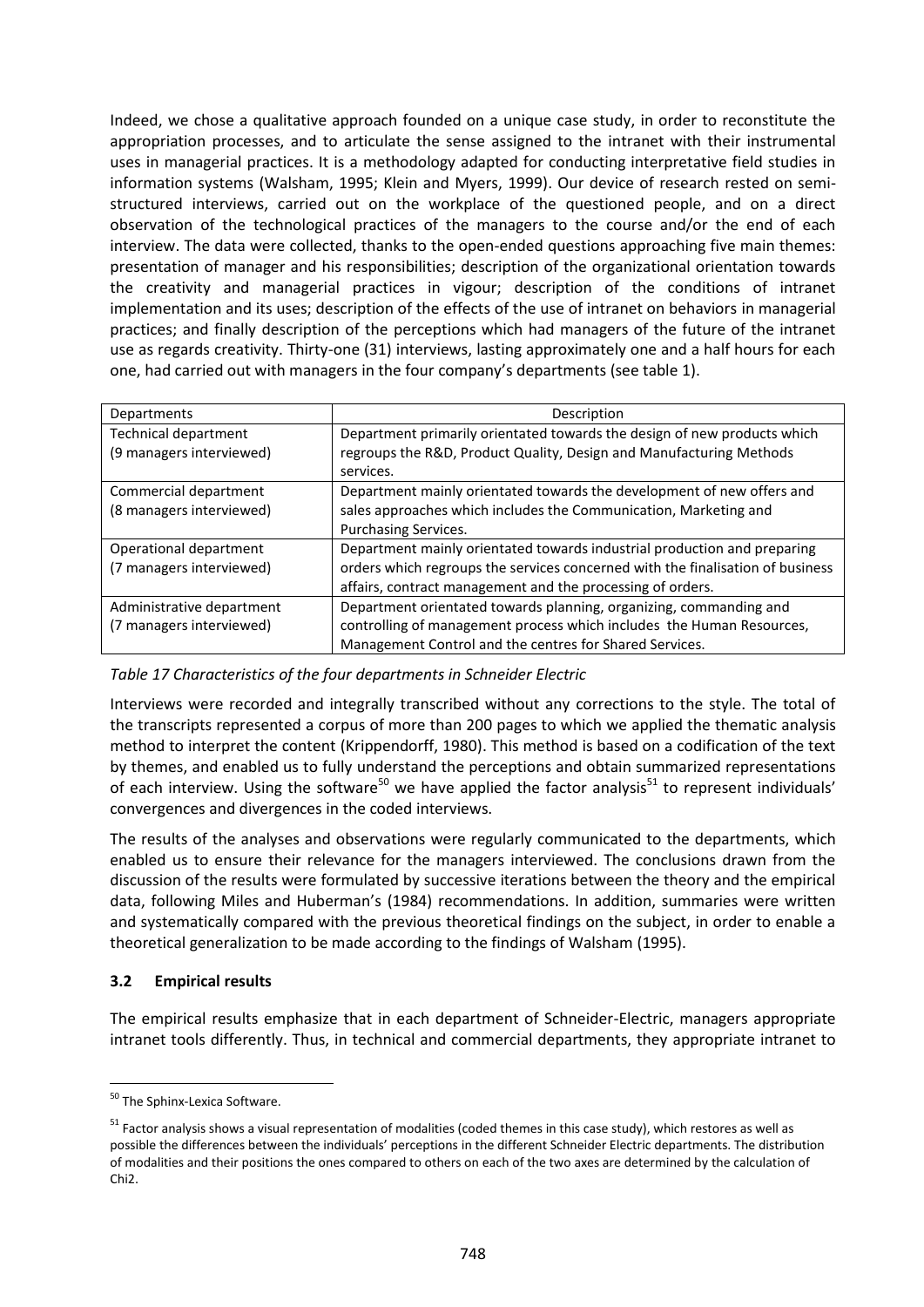Indeed, we chose a qualitative approach founded on a unique case study, in order to reconstitute the appropriation processes, and to articulate the sense assigned to the intranet with their instrumental uses in managerial practices. It is a methodology adapted for conducting interpretative field studies in information systems (Walsham, 1995; Klein and Myers, 1999). Our device of research rested on semistructured interviews, carried out on the workplace of the questioned people, and on a direct observation of the technological practices of the managers to the course and/or the end of each interview. The data were collected, thanks to the open-ended questions approaching five main themes: presentation of manager and his responsibilities; description of the organizational orientation towards the creativity and managerial practices in vigour; description of the conditions of intranet implementation and its uses; description of the effects of the use of intranet on behaviors in managerial practices; and finally description of the perceptions which had managers of the future of the intranet use as regards creativity. Thirty-one (31) interviews, lasting approximately one and a half hours for each one, had carried out with managers in the four company's departments (see table 1).

| Departments               | Description                                                                    |  |  |
|---------------------------|--------------------------------------------------------------------------------|--|--|
| Technical department      | Department primarily orientated towards the design of new products which       |  |  |
| (9 managers interviewed)  | regroups the R&D, Product Quality, Design and Manufacturing Methods            |  |  |
|                           | services.                                                                      |  |  |
| Commercial department     | Department mainly orientated towards the development of new offers and         |  |  |
| (8 managers interviewed)  | sales approaches which includes the Communication, Marketing and               |  |  |
|                           | <b>Purchasing Services.</b>                                                    |  |  |
| Operational department    | Department mainly orientated towards industrial production and preparing       |  |  |
| (7 managers interviewed)  | orders which regroups the services concerned with the finalisation of business |  |  |
|                           | affairs, contract management and the processing of orders.                     |  |  |
| Administrative department | Department orientated towards planning, organizing, commanding and             |  |  |
| (7 managers interviewed)  | controlling of management process which includes the Human Resources,          |  |  |
|                           | Management Control and the centres for Shared Services.                        |  |  |

*Table 17 Characteristics of the four departments in Schneider Electric*

Interviews were recorded and integrally transcribed without any corrections to the style. The total of the transcripts represented a corpus of more than 200 pages to which we applied the thematic analysis method to interpret the content (Krippendorff, 1980). This method is based on a codification of the text by themes, and enabled us to fully understand the perceptions and obtain summarized representations of each interview. Using the software<sup>50</sup> we have applied the factor analysis<sup>51</sup> to represent individuals' convergences and divergences in the coded interviews.

The results of the analyses and observations were regularly communicated to the departments, which enabled us to ensure their relevance for the managers interviewed. The conclusions drawn from the discussion of the results were formulated by successive iterations between the theory and the empirical data, following Miles and Huberman's (1984) recommendations. In addition, summaries were written and systematically compared with the previous theoretical findings on the subject, in order to enable a theoretical generalization to be made according to the findings of Walsham (1995).

### **3.2 Empirical results**

The empirical results emphasize that in each department of Schneider-Electric, managers appropriate intranet tools differently. Thus, in technical and commercial departments, they appropriate intranet to

 $\overline{a}$ <sup>50</sup> The Sphinx-Lexica Software.

 $51$  Factor analysis shows a visual representation of modalities (coded themes in this case study), which restores as well as possible the differences between the individuals' perceptions in the different Schneider Electric departments. The distribution of modalities and their positions the ones compared to others on each of the two axes are determined by the calculation of Chi2.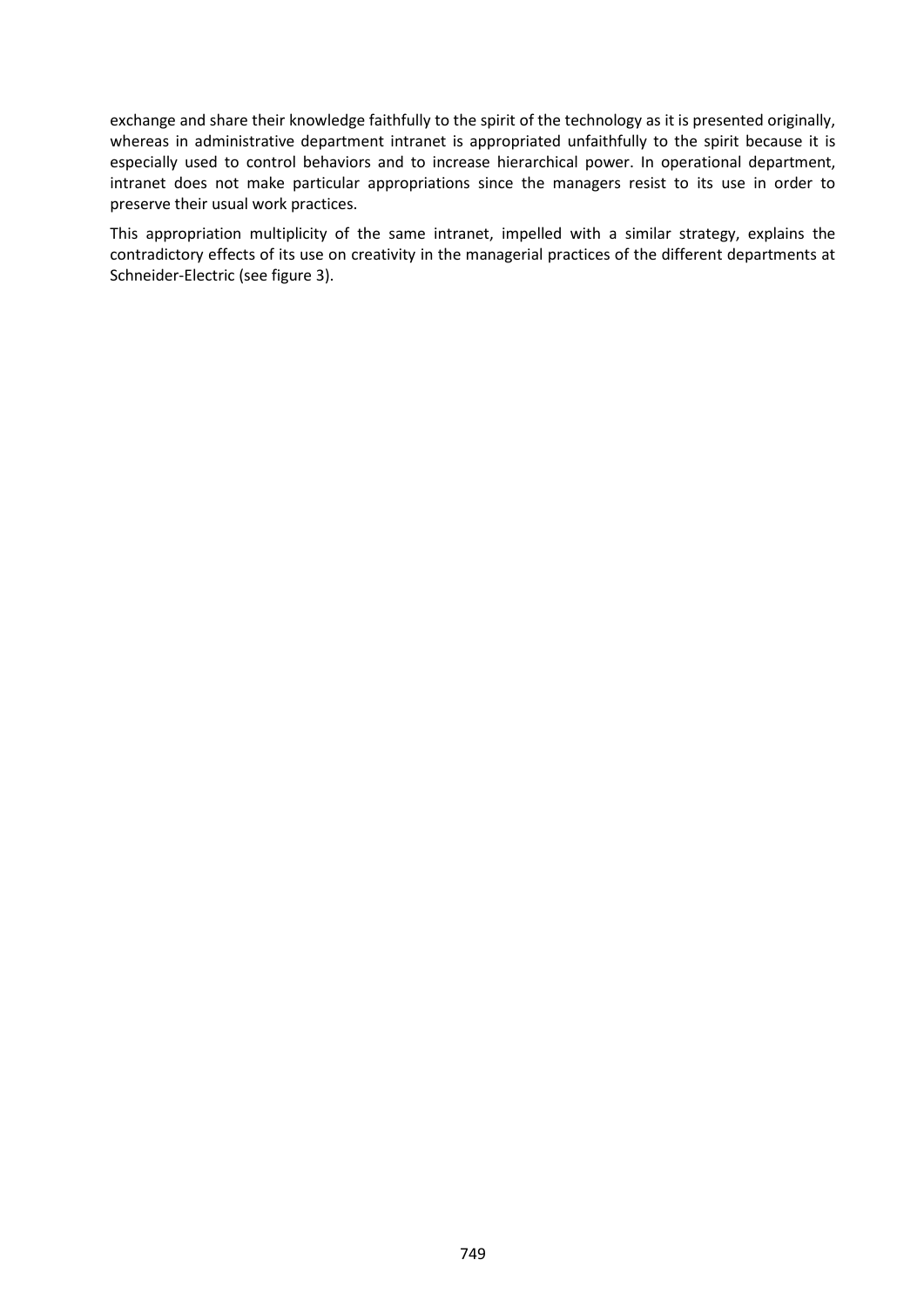exchange and share their knowledge faithfully to the spirit of the technology as it is presented originally, whereas in administrative department intranet is appropriated unfaithfully to the spirit because it is especially used to control behaviors and to increase hierarchical power. In operational department, intranet does not make particular appropriations since the managers resist to its use in order to preserve their usual work practices.

This appropriation multiplicity of the same intranet, impelled with a similar strategy, explains the contradictory effects of its use on creativity in the managerial practices of the different departments at Schneider-Electric (see figure 3).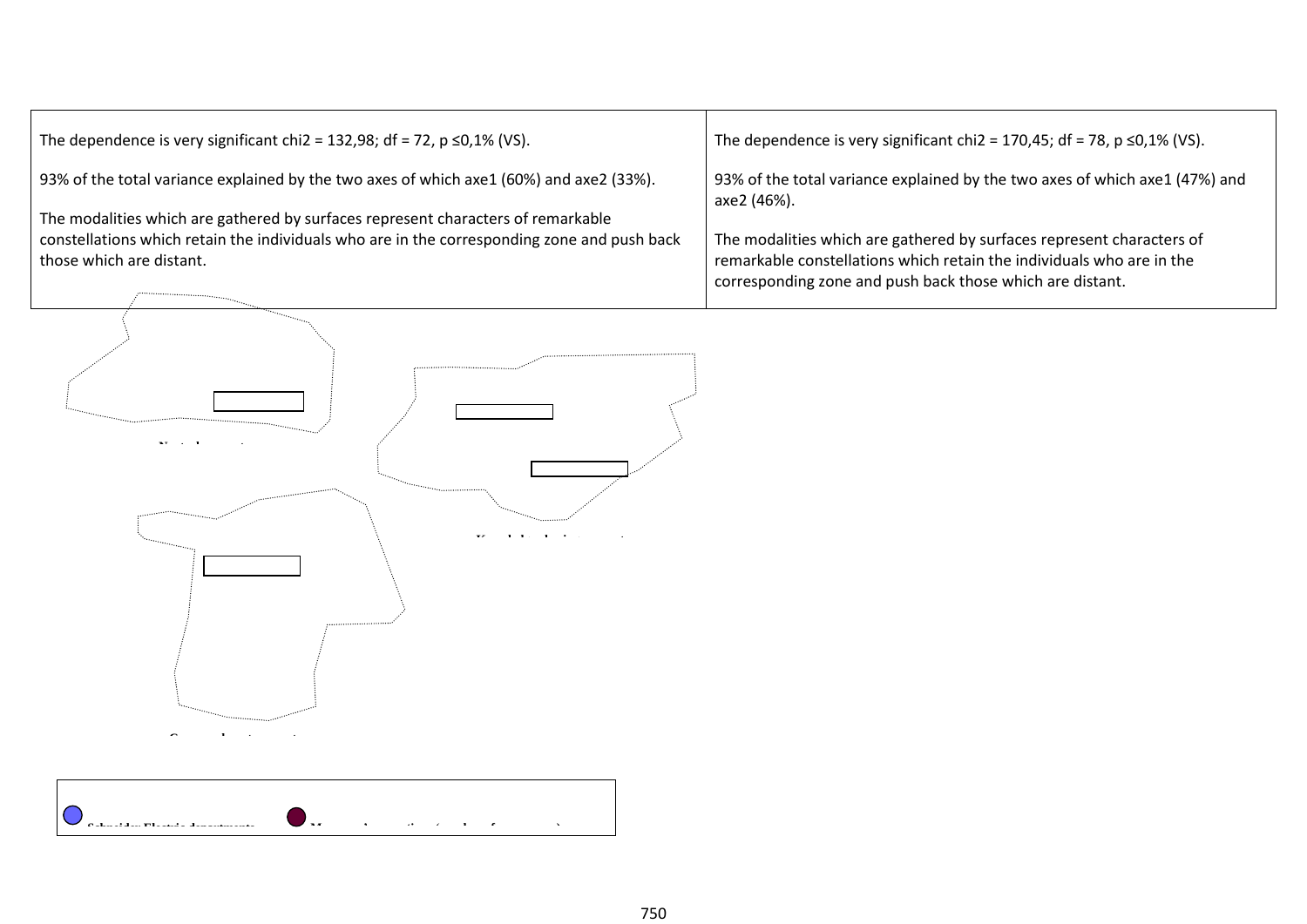| The dependence is very significant chi2 = 132,98; df = 72, $p \le 0.1\%$ (VS).<br>93% of the total variance explained by the two axes of which axe1 (60%) and axe2 (33%).<br>The modalities which are gathered by surfaces represent characters of remarkable<br>constellations which retain the individuals who are in the corresponding zone and push back<br>those which are distant. | The dependence is very significant chi2 = 170,45; df = 78, $p \le 0.1\%$ (VS).<br>93% of the total variance explained by the two axes of which axe1 (47%) and<br>axe2 (46%).<br>The modalities which are gathered by surfaces represent characters of<br>remarkable constellations which retain the individuals who are in the<br>corresponding zone and push back those which are distant. |
|------------------------------------------------------------------------------------------------------------------------------------------------------------------------------------------------------------------------------------------------------------------------------------------------------------------------------------------------------------------------------------------|---------------------------------------------------------------------------------------------------------------------------------------------------------------------------------------------------------------------------------------------------------------------------------------------------------------------------------------------------------------------------------------------|
|                                                                                                                                                                                                                                                                                                                                                                                          |                                                                                                                                                                                                                                                                                                                                                                                             |

750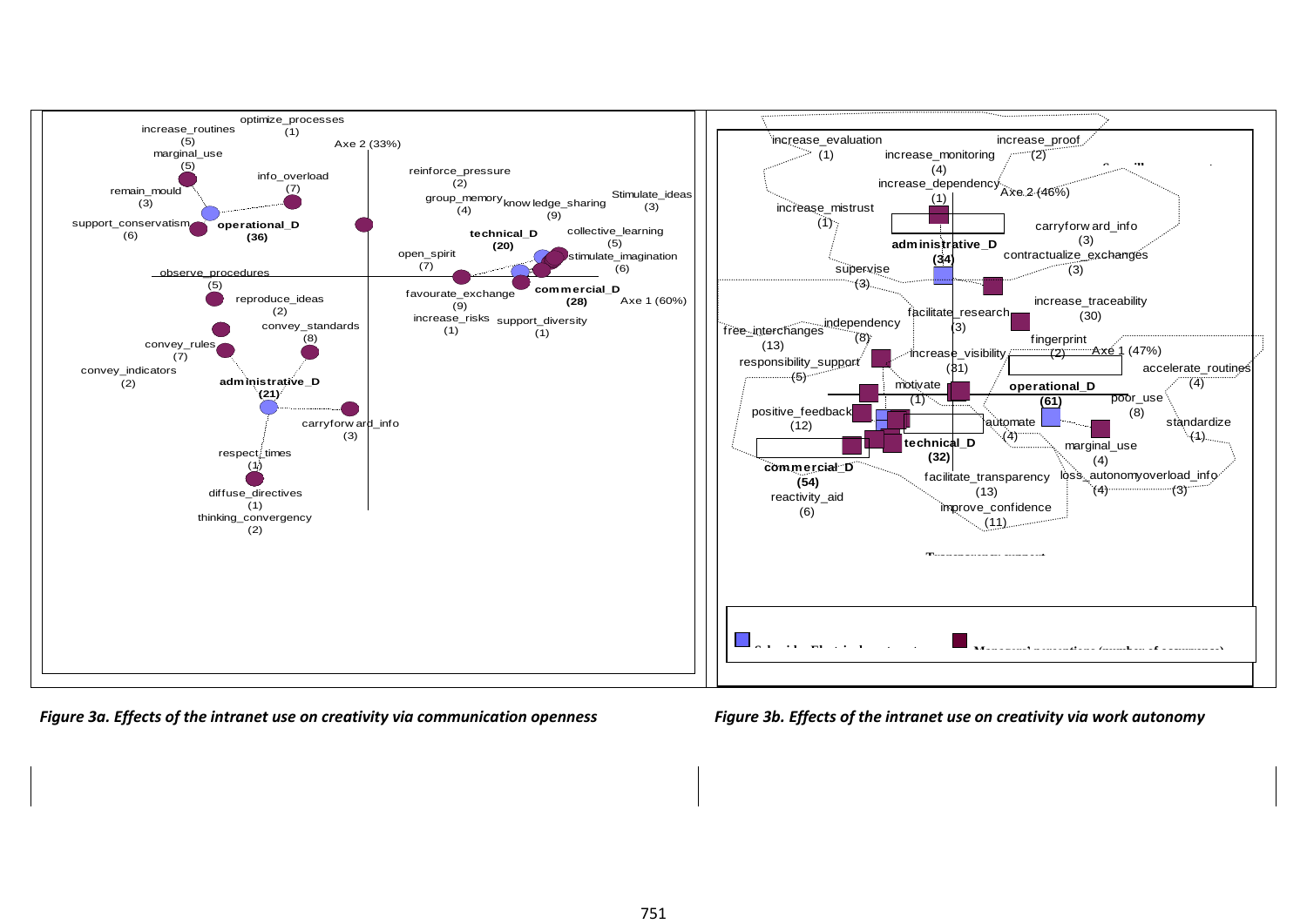

*Figure 3a. Effects of the intranet use on creativity via communication openness Figure 3b. Effects of the intranet use on creativity via work autonomy*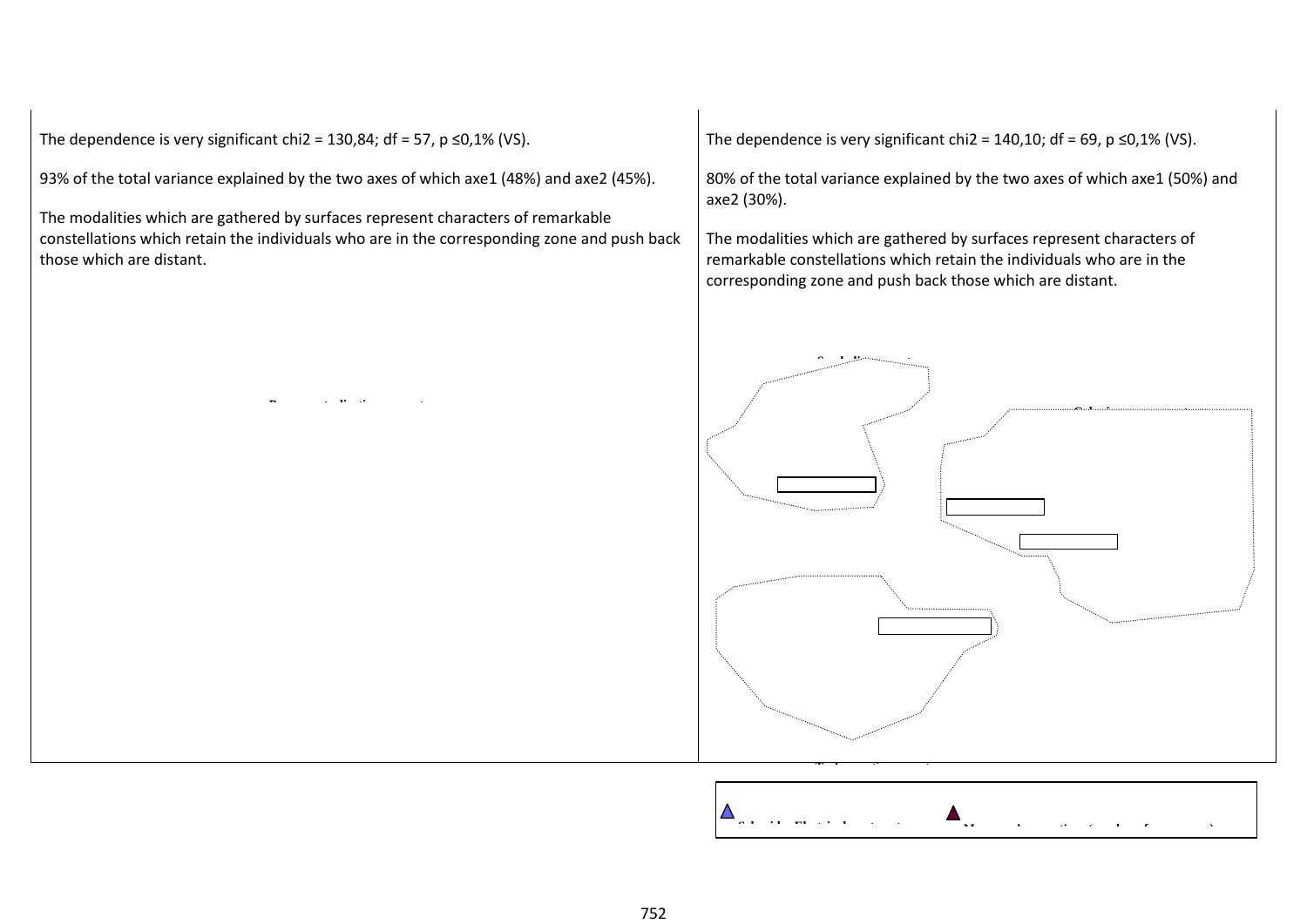The dependence is very significant chi2 = 130,84; df = 57, p  $\leq$ 0,1% (VS).

93% of the total variance explained by the two axes of which axe1 (48%) and axe2 (45%).

The modalities which are gathered by surfaces represent characters of remarkable constellations which retain the individuals who are in the corresponding zone and push back those which are distant.

The dependence is very significant chi2 = 140,10; df = 69, p  $\leq$ 0,1% (VS).

80% of the total variance explained by the two axes of which axe1 (50%) and axe2 (30%).

The modalities which are gathered by surfaces represent characters of remarkable constellations which retain the individuals who are in the corresponding zone and push back those which are distant.



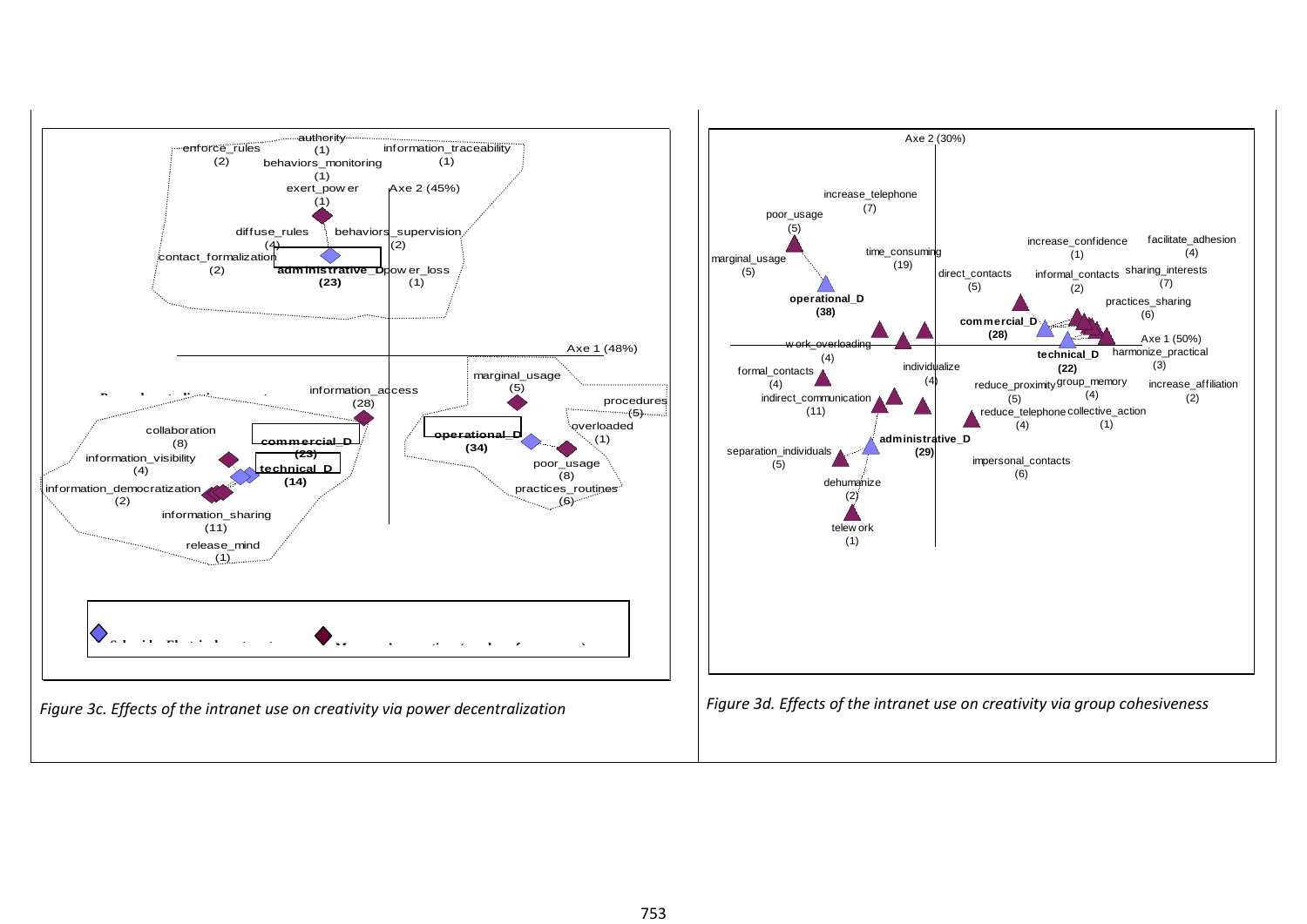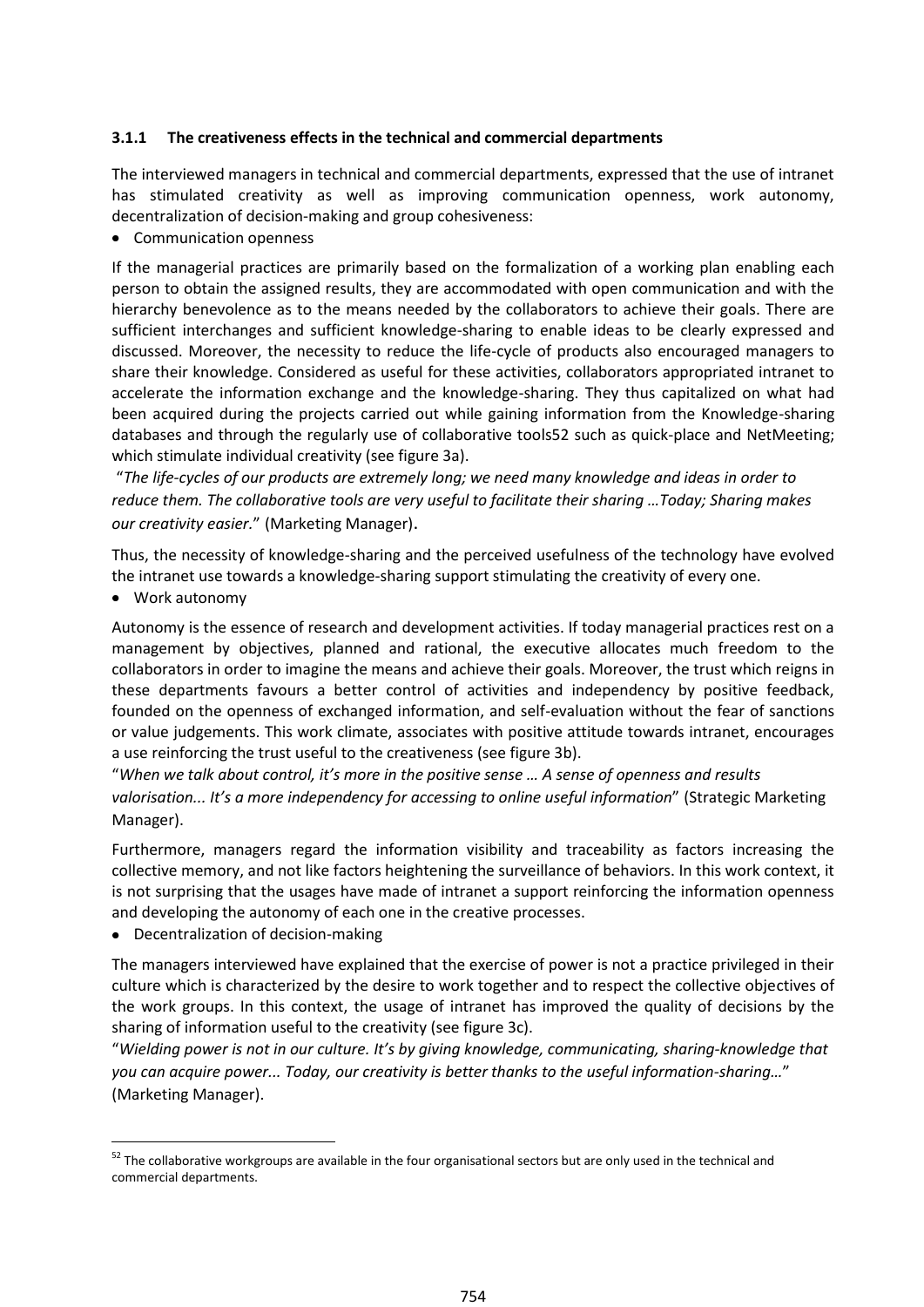#### **3.1.1 The creativeness effects in the technical and commercial departments**

The interviewed managers in technical and commercial departments, expressed that the use of intranet has stimulated creativity as well as improving communication openness, work autonomy, decentralization of decision-making and group cohesiveness:

Communication openness

If the managerial practices are primarily based on the formalization of a working plan enabling each person to obtain the assigned results, they are accommodated with open communication and with the hierarchy benevolence as to the means needed by the collaborators to achieve their goals. There are sufficient interchanges and sufficient knowledge-sharing to enable ideas to be clearly expressed and discussed. Moreover, the necessity to reduce the life-cycle of products also encouraged managers to share their knowledge. Considered as useful for these activities, collaborators appropriated intranet to accelerate the information exchange and the knowledge-sharing. They thus capitalized on what had been acquired during the projects carried out while gaining information from the Knowledge-sharing databases and through the regularly use of collaborative tools52 such as quick-place and NetMeeting; which stimulate individual creativity (see figure 3a).

"*The life-cycles of our products are extremely long; we need many knowledge and ideas in order to reduce them. The collaborative tools are very useful to facilitate their sharing …Today; Sharing makes our creativity easier.*" (Marketing Manager).

Thus, the necessity of knowledge-sharing and the perceived usefulness of the technology have evolved the intranet use towards a knowledge-sharing support stimulating the creativity of every one.

Work autonomy

 $\overline{a}$ 

Autonomy is the essence of research and development activities. If today managerial practices rest on a management by objectives, planned and rational, the executive allocates much freedom to the collaborators in order to imagine the means and achieve their goals. Moreover, the trust which reigns in these departments favours a better control of activities and independency by positive feedback, founded on the openness of exchanged information, and self-evaluation without the fear of sanctions or value judgements. This work climate, associates with positive attitude towards intranet, encourages a use reinforcing the trust useful to the creativeness (see figure 3b).

"*When we talk about control, it's more in the positive sense … A sense of openness and results valorisation... It's a more independency for accessing to online useful information*" (Strategic Marketing Manager).

Furthermore, managers regard the information visibility and traceability as factors increasing the collective memory, and not like factors heightening the surveillance of behaviors. In this work context, it is not surprising that the usages have made of intranet a support reinforcing the information openness and developing the autonomy of each one in the creative processes.

Decentralization of decision-making

The managers interviewed have explained that the exercise of power is not a practice privileged in their culture which is characterized by the desire to work together and to respect the collective objectives of the work groups. In this context, the usage of intranet has improved the quality of decisions by the sharing of information useful to the creativity (see figure 3c).

"*Wielding power is not in our culture. It's by giving knowledge, communicating, sharing-knowledge that you can acquire power... Today, our creativity is better thanks to the useful information-sharing…*" (Marketing Manager).

 $52$  The collaborative workgroups are available in the four organisational sectors but are only used in the technical and commercial departments.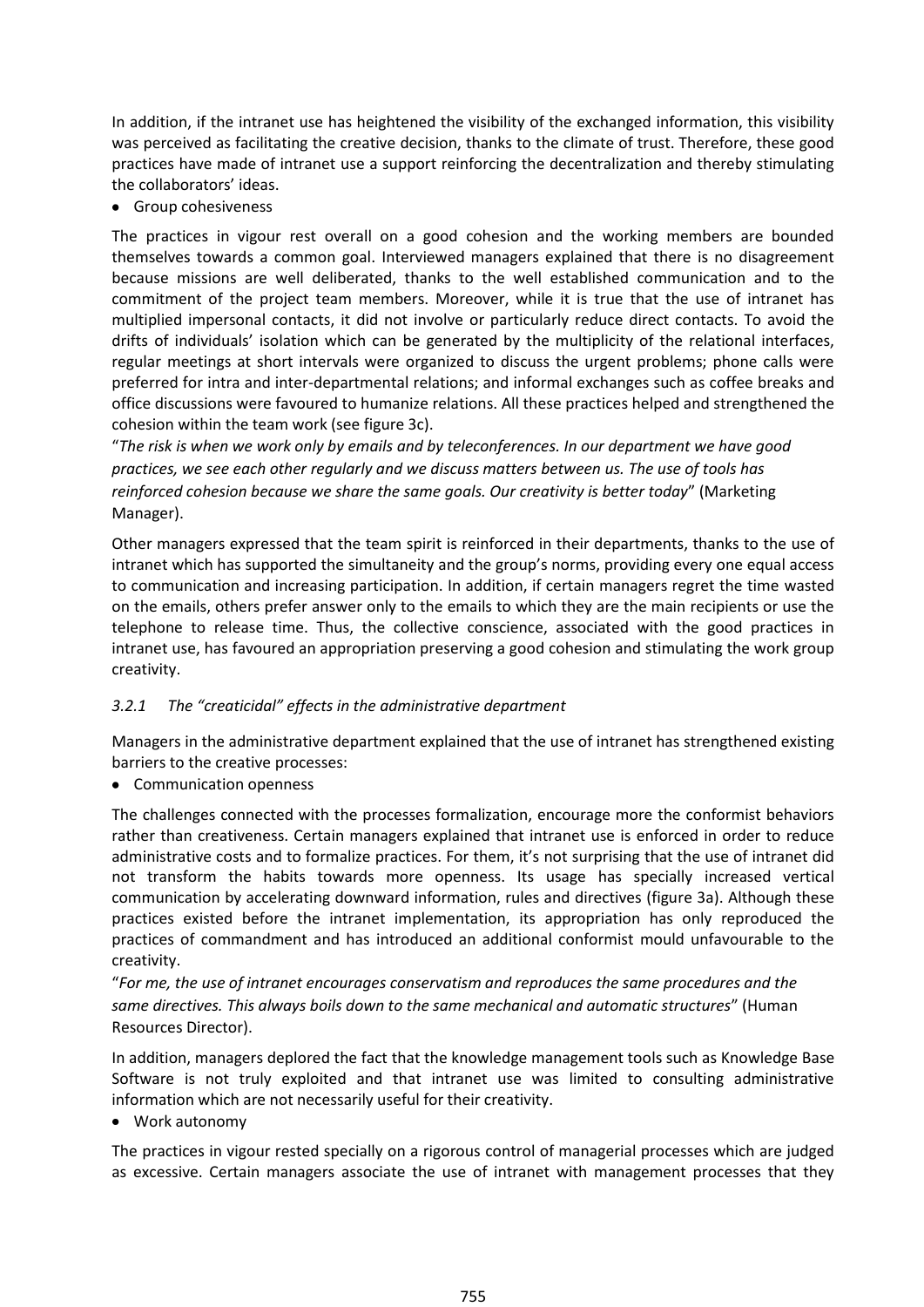In addition, if the intranet use has heightened the visibility of the exchanged information, this visibility was perceived as facilitating the creative decision, thanks to the climate of trust. Therefore, these good practices have made of intranet use a support reinforcing the decentralization and thereby stimulating the collaborators' ideas.

• Group cohesiveness

The practices in vigour rest overall on a good cohesion and the working members are bounded themselves towards a common goal. Interviewed managers explained that there is no disagreement because missions are well deliberated, thanks to the well established communication and to the commitment of the project team members. Moreover, while it is true that the use of intranet has multiplied impersonal contacts, it did not involve or particularly reduce direct contacts. To avoid the drifts of individuals' isolation which can be generated by the multiplicity of the relational interfaces, regular meetings at short intervals were organized to discuss the urgent problems; phone calls were preferred for intra and inter-departmental relations; and informal exchanges such as coffee breaks and office discussions were favoured to humanize relations. All these practices helped and strengthened the cohesion within the team work (see figure 3c).

"*The risk is when we work only by emails and by teleconferences. In our department we have good practices, we see each other regularly and we discuss matters between us. The use of tools has reinforced cohesion because we share the same goals. Our creativity is better today*" (Marketing Manager).

Other managers expressed that the team spirit is reinforced in their departments, thanks to the use of intranet which has supported the simultaneity and the group's norms, providing every one equal access to communication and increasing participation. In addition, if certain managers regret the time wasted on the emails, others prefer answer only to the emails to which they are the main recipients or use the telephone to release time. Thus, the collective conscience, associated with the good practices in intranet use, has favoured an appropriation preserving a good cohesion and stimulating the work group creativity.

### *3.2.1 The "creaticidal" effects in the administrative department*

Managers in the administrative department explained that the use of intranet has strengthened existing barriers to the creative processes:

• Communication openness

The challenges connected with the processes formalization, encourage more the conformist behaviors rather than creativeness. Certain managers explained that intranet use is enforced in order to reduce administrative costs and to formalize practices. For them, it's not surprising that the use of intranet did not transform the habits towards more openness. Its usage has specially increased vertical communication by accelerating downward information, rules and directives (figure 3a). Although these practices existed before the intranet implementation, its appropriation has only reproduced the practices of commandment and has introduced an additional conformist mould unfavourable to the creativity.

"*For me, the use of intranet encourages conservatism and reproduces the same procedures and the same directives. This always boils down to the same mechanical and automatic structures*" (Human Resources Director).

In addition, managers deplored the fact that the knowledge management tools such as Knowledge Base Software is not truly exploited and that intranet use was limited to consulting administrative information which are not necessarily useful for their creativity.

Work autonomy

The practices in vigour rested specially on a rigorous control of managerial processes which are judged as excessive. Certain managers associate the use of intranet with management processes that they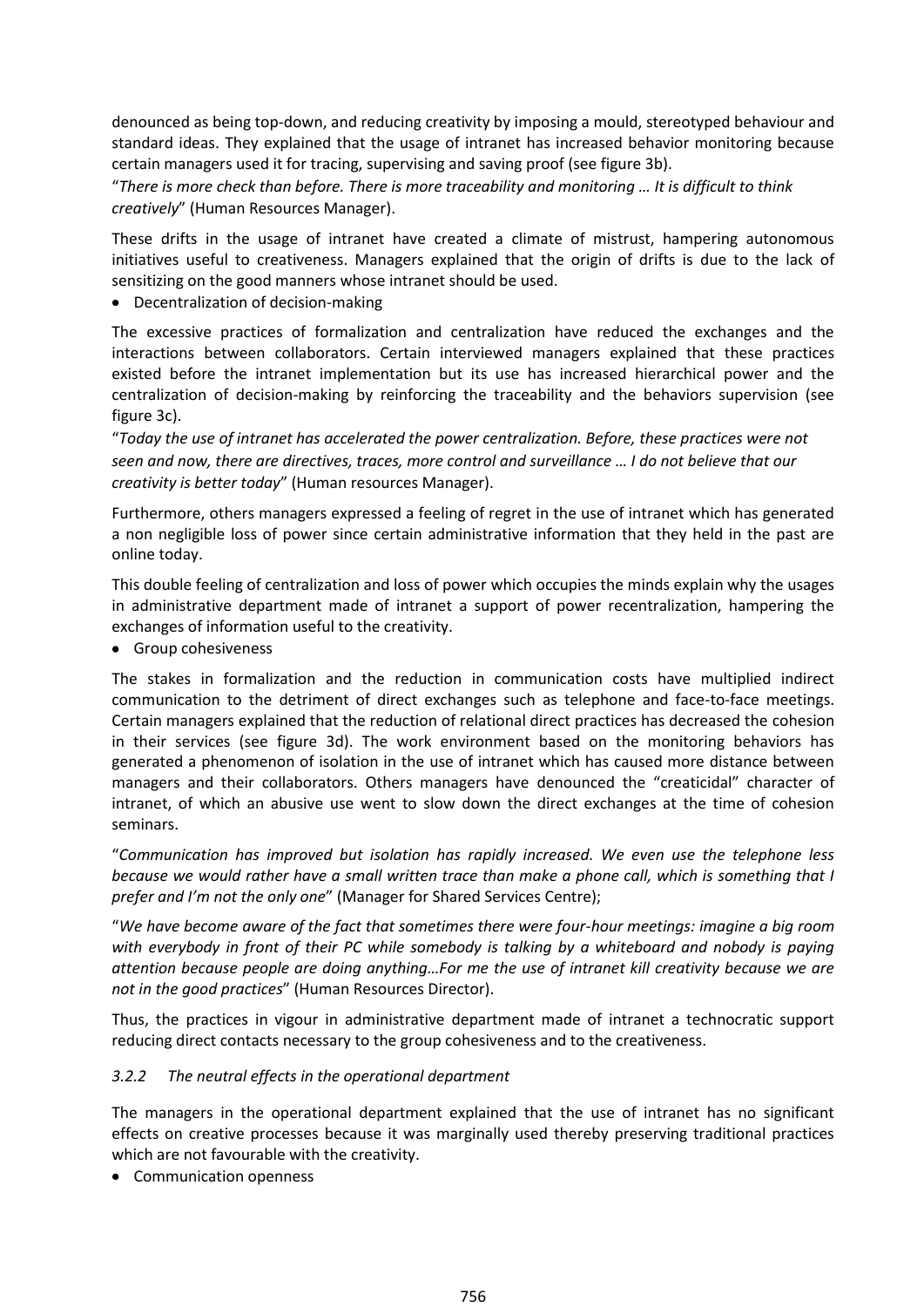denounced as being top-down, and reducing creativity by imposing a mould, stereotyped behaviour and standard ideas. They explained that the usage of intranet has increased behavior monitoring because certain managers used it for tracing, supervising and saving proof (see figure 3b).

"*There is more check than before. There is more traceability and monitoring … It is difficult to think creatively*" (Human Resources Manager).

These drifts in the usage of intranet have created a climate of mistrust, hampering autonomous initiatives useful to creativeness. Managers explained that the origin of drifts is due to the lack of sensitizing on the good manners whose intranet should be used.

Decentralization of decision-making

The excessive practices of formalization and centralization have reduced the exchanges and the interactions between collaborators. Certain interviewed managers explained that these practices existed before the intranet implementation but its use has increased hierarchical power and the centralization of decision-making by reinforcing the traceability and the behaviors supervision (see figure 3c).

"*Today the use of intranet has accelerated the power centralization. Before, these practices were not seen and now, there are directives, traces, more control and surveillance … I do not believe that our creativity is better today*" (Human resources Manager).

Furthermore, others managers expressed a feeling of regret in the use of intranet which has generated a non negligible loss of power since certain administrative information that they held in the past are online today.

This double feeling of centralization and loss of power which occupies the minds explain why the usages in administrative department made of intranet a support of power recentralization, hampering the exchanges of information useful to the creativity.

• Group cohesiveness

The stakes in formalization and the reduction in communication costs have multiplied indirect communication to the detriment of direct exchanges such as telephone and face-to-face meetings. Certain managers explained that the reduction of relational direct practices has decreased the cohesion in their services (see figure 3d). The work environment based on the monitoring behaviors has generated a phenomenon of isolation in the use of intranet which has caused more distance between managers and their collaborators. Others managers have denounced the "creaticidal" character of intranet, of which an abusive use went to slow down the direct exchanges at the time of cohesion seminars.

"*Communication has improved but isolation has rapidly increased. We even use the telephone less because we would rather have a small written trace than make a phone call, which is something that I prefer and I'm not the only one*" (Manager for Shared Services Centre);

"*We have become aware of the fact that sometimes there were four-hour meetings: imagine a big room with everybody in front of their PC while somebody is talking by a whiteboard and nobody is paying attention because people are doing anything…For me the use of intranet kill creativity because we are not in the good practices*" (Human Resources Director).

Thus, the practices in vigour in administrative department made of intranet a technocratic support reducing direct contacts necessary to the group cohesiveness and to the creativeness.

### *3.2.2 The neutral effects in the operational department*

The managers in the operational department explained that the use of intranet has no significant effects on creative processes because it was marginally used thereby preserving traditional practices which are not favourable with the creativity.

• Communication openness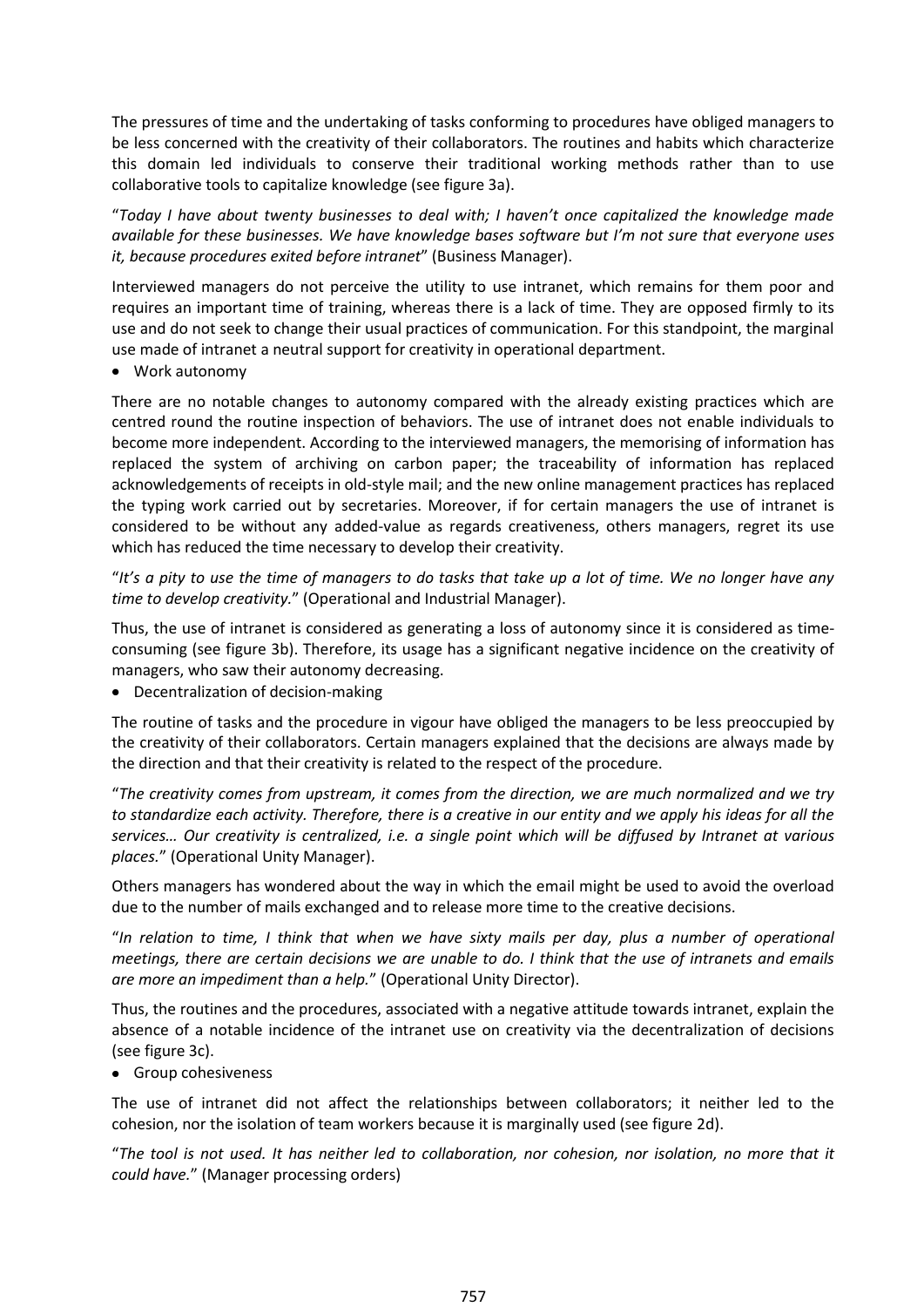The pressures of time and the undertaking of tasks conforming to procedures have obliged managers to be less concerned with the creativity of their collaborators. The routines and habits which characterize this domain led individuals to conserve their traditional working methods rather than to use collaborative tools to capitalize knowledge (see figure 3a).

"*Today I have about twenty businesses to deal with; I haven't once capitalized the knowledge made available for these businesses. We have knowledge bases software but I'm not sure that everyone uses it, because procedures exited before intranet*" (Business Manager).

Interviewed managers do not perceive the utility to use intranet, which remains for them poor and requires an important time of training, whereas there is a lack of time. They are opposed firmly to its use and do not seek to change their usual practices of communication. For this standpoint, the marginal use made of intranet a neutral support for creativity in operational department.

Work autonomy

There are no notable changes to autonomy compared with the already existing practices which are centred round the routine inspection of behaviors. The use of intranet does not enable individuals to become more independent. According to the interviewed managers, the memorising of information has replaced the system of archiving on carbon paper; the traceability of information has replaced acknowledgements of receipts in old-style mail; and the new online management practices has replaced the typing work carried out by secretaries. Moreover, if for certain managers the use of intranet is considered to be without any added-value as regards creativeness, others managers, regret its use which has reduced the time necessary to develop their creativity.

"*It's a pity to use the time of managers to do tasks that take up a lot of time. We no longer have any time to develop creativity.*" (Operational and Industrial Manager).

Thus, the use of intranet is considered as generating a loss of autonomy since it is considered as timeconsuming (see figure 3b). Therefore, its usage has a significant negative incidence on the creativity of managers, who saw their autonomy decreasing.

Decentralization of decision-making

The routine of tasks and the procedure in vigour have obliged the managers to be less preoccupied by the creativity of their collaborators. Certain managers explained that the decisions are always made by the direction and that their creativity is related to the respect of the procedure.

"*The creativity comes from upstream, it comes from the direction, we are much normalized and we try to standardize each activity. Therefore, there is a creative in our entity and we apply his ideas for all the services… Our creativity is centralized, i.e. a single point which will be diffused by Intranet at various places.*" (Operational Unity Manager).

Others managers has wondered about the way in which the email might be used to avoid the overload due to the number of mails exchanged and to release more time to the creative decisions.

"*In relation to time, I think that when we have sixty mails per day, plus a number of operational meetings, there are certain decisions we are unable to do. I think that the use of intranets and emails are more an impediment than a help.*" (Operational Unity Director).

Thus, the routines and the procedures, associated with a negative attitude towards intranet, explain the absence of a notable incidence of the intranet use on creativity via the decentralization of decisions (see figure 3c).

• Group cohesiveness

The use of intranet did not affect the relationships between collaborators; it neither led to the cohesion, nor the isolation of team workers because it is marginally used (see figure 2d).

"*The tool is not used. It has neither led to collaboration, nor cohesion, nor isolation, no more that it could have.*" (Manager processing orders)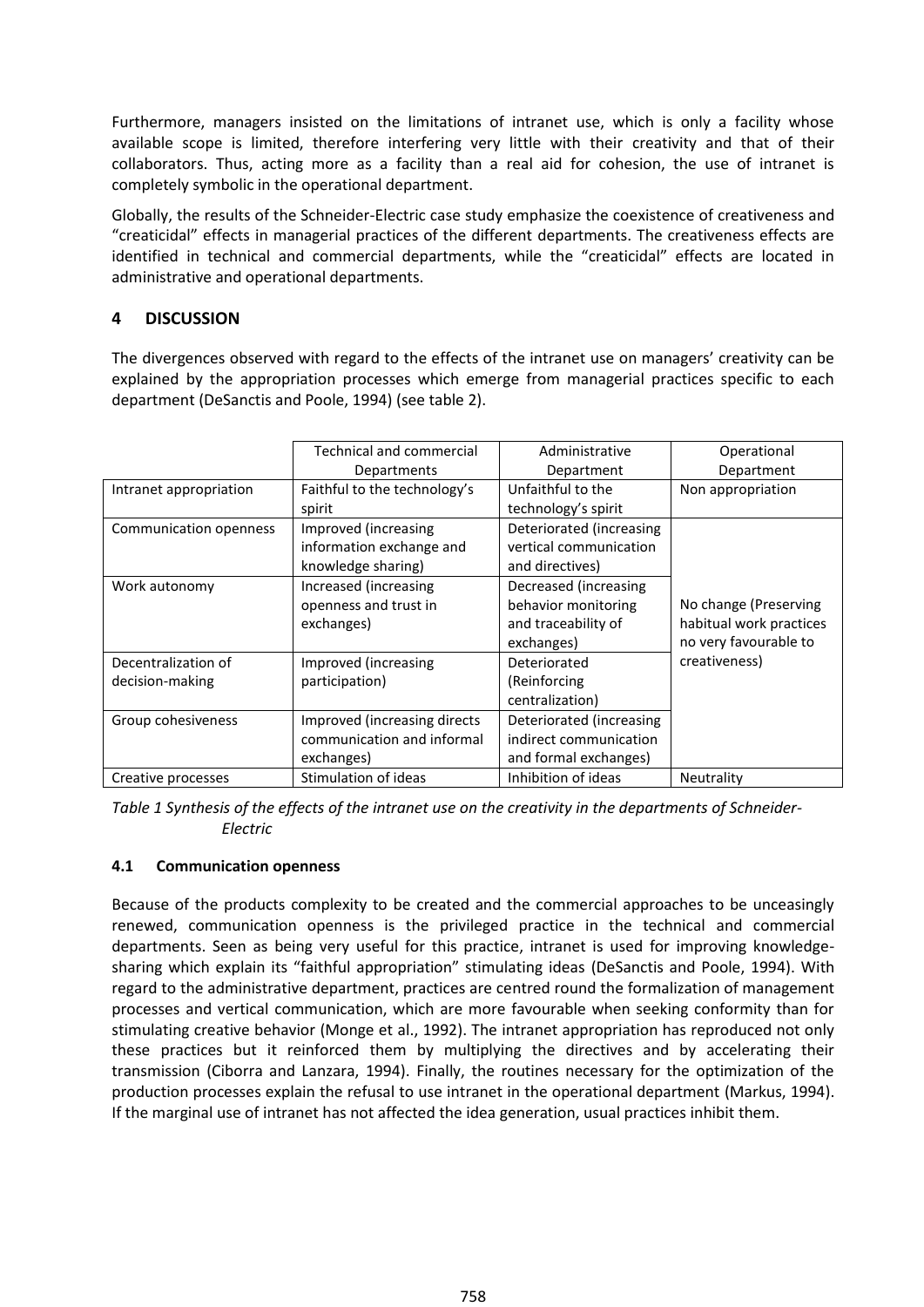Furthermore, managers insisted on the limitations of intranet use, which is only a facility whose available scope is limited, therefore interfering very little with their creativity and that of their collaborators. Thus, acting more as a facility than a real aid for cohesion, the use of intranet is completely symbolic in the operational department.

Globally, the results of the Schneider-Electric case study emphasize the coexistence of creativeness and "creaticidal" effects in managerial practices of the different departments. The creativeness effects are identified in technical and commercial departments, while the "creaticidal" effects are located in administrative and operational departments.

## **4 DISCUSSION**

The divergences observed with regard to the effects of the intranet use on managers' creativity can be explained by the appropriation processes which emerge from managerial practices specific to each department (DeSanctis and Poole, 1994) (see table 2).

|                        | <b>Technical and commercial</b> | Administrative           | Operational             |
|------------------------|---------------------------------|--------------------------|-------------------------|
|                        | Departments                     | Department               | Department              |
| Intranet appropriation | Faithful to the technology's    | Unfaithful to the        | Non appropriation       |
|                        | spirit                          | technology's spirit      |                         |
| Communication openness | Improved (increasing            | Deteriorated (increasing |                         |
|                        | information exchange and        | vertical communication   |                         |
|                        | knowledge sharing)              | and directives)          |                         |
| Work autonomy          | Increased (increasing           | Decreased (increasing    |                         |
|                        | openness and trust in           | behavior monitoring      | No change (Preserving   |
|                        | exchanges)                      | and traceability of      | habitual work practices |
|                        |                                 | exchanges)               | no very favourable to   |
| Decentralization of    | Improved (increasing            | Deteriorated             | creativeness)           |
| decision-making        | participation)                  | (Reinforcing             |                         |
|                        |                                 | centralization)          |                         |
| Group cohesiveness     | Improved (increasing directs    | Deteriorated (increasing |                         |
|                        | communication and informal      | indirect communication   |                         |
|                        | exchanges)                      | and formal exchanges)    |                         |
| Creative processes     | Stimulation of ideas            | Inhibition of ideas      | Neutrality              |

*Table 1 Synthesis of the effects of the intranet use on the creativity in the departments of Schneider-Electric*

### **4.1 Communication openness**

Because of the products complexity to be created and the commercial approaches to be unceasingly renewed, communication openness is the privileged practice in the technical and commercial departments. Seen as being very useful for this practice, intranet is used for improving knowledgesharing which explain its "faithful appropriation" stimulating ideas (DeSanctis and Poole, 1994). With regard to the administrative department, practices are centred round the formalization of management processes and vertical communication, which are more favourable when seeking conformity than for stimulating creative behavior (Monge et al., 1992). The intranet appropriation has reproduced not only these practices but it reinforced them by multiplying the directives and by accelerating their transmission (Ciborra and Lanzara, 1994). Finally, the routines necessary for the optimization of the production processes explain the refusal to use intranet in the operational department (Markus, 1994). If the marginal use of intranet has not affected the idea generation, usual practices inhibit them.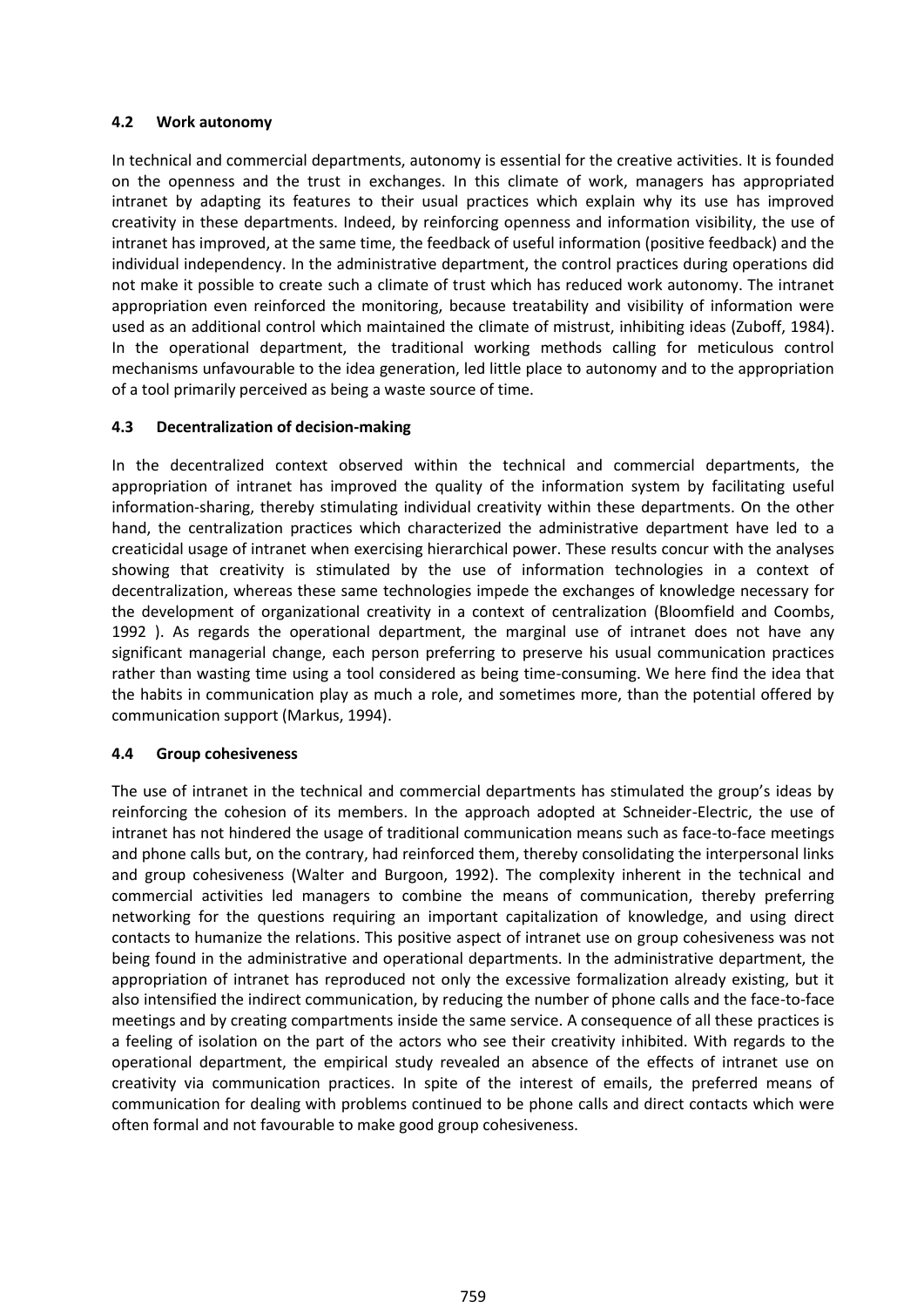#### **4.2 Work autonomy**

In technical and commercial departments, autonomy is essential for the creative activities. It is founded on the openness and the trust in exchanges. In this climate of work, managers has appropriated intranet by adapting its features to their usual practices which explain why its use has improved creativity in these departments. Indeed, by reinforcing openness and information visibility, the use of intranet has improved, at the same time, the feedback of useful information (positive feedback) and the individual independency. In the administrative department, the control practices during operations did not make it possible to create such a climate of trust which has reduced work autonomy. The intranet appropriation even reinforced the monitoring, because treatability and visibility of information were used as an additional control which maintained the climate of mistrust, inhibiting ideas (Zuboff, 1984). In the operational department, the traditional working methods calling for meticulous control mechanisms unfavourable to the idea generation, led little place to autonomy and to the appropriation of a tool primarily perceived as being a waste source of time.

#### **4.3 Decentralization of decision-making**

In the decentralized context observed within the technical and commercial departments, the appropriation of intranet has improved the quality of the information system by facilitating useful information-sharing, thereby stimulating individual creativity within these departments. On the other hand, the centralization practices which characterized the administrative department have led to a creaticidal usage of intranet when exercising hierarchical power. These results concur with the analyses showing that creativity is stimulated by the use of information technologies in a context of decentralization, whereas these same technologies impede the exchanges of knowledge necessary for the development of organizational creativity in a context of centralization (Bloomfield and Coombs, 1992 ). As regards the operational department, the marginal use of intranet does not have any significant managerial change, each person preferring to preserve his usual communication practices rather than wasting time using a tool considered as being time-consuming. We here find the idea that the habits in communication play as much a role, and sometimes more, than the potential offered by communication support (Markus, 1994).

#### **4.4 Group cohesiveness**

The use of intranet in the technical and commercial departments has stimulated the group's ideas by reinforcing the cohesion of its members. In the approach adopted at Schneider-Electric, the use of intranet has not hindered the usage of traditional communication means such as face-to-face meetings and phone calls but, on the contrary, had reinforced them, thereby consolidating the interpersonal links and group cohesiveness (Walter and Burgoon, 1992). The complexity inherent in the technical and commercial activities led managers to combine the means of communication, thereby preferring networking for the questions requiring an important capitalization of knowledge, and using direct contacts to humanize the relations. This positive aspect of intranet use on group cohesiveness was not being found in the administrative and operational departments. In the administrative department, the appropriation of intranet has reproduced not only the excessive formalization already existing, but it also intensified the indirect communication, by reducing the number of phone calls and the face-to-face meetings and by creating compartments inside the same service. A consequence of all these practices is a feeling of isolation on the part of the actors who see their creativity inhibited. With regards to the operational department, the empirical study revealed an absence of the effects of intranet use on creativity via communication practices. In spite of the interest of emails, the preferred means of communication for dealing with problems continued to be phone calls and direct contacts which were often formal and not favourable to make good group cohesiveness.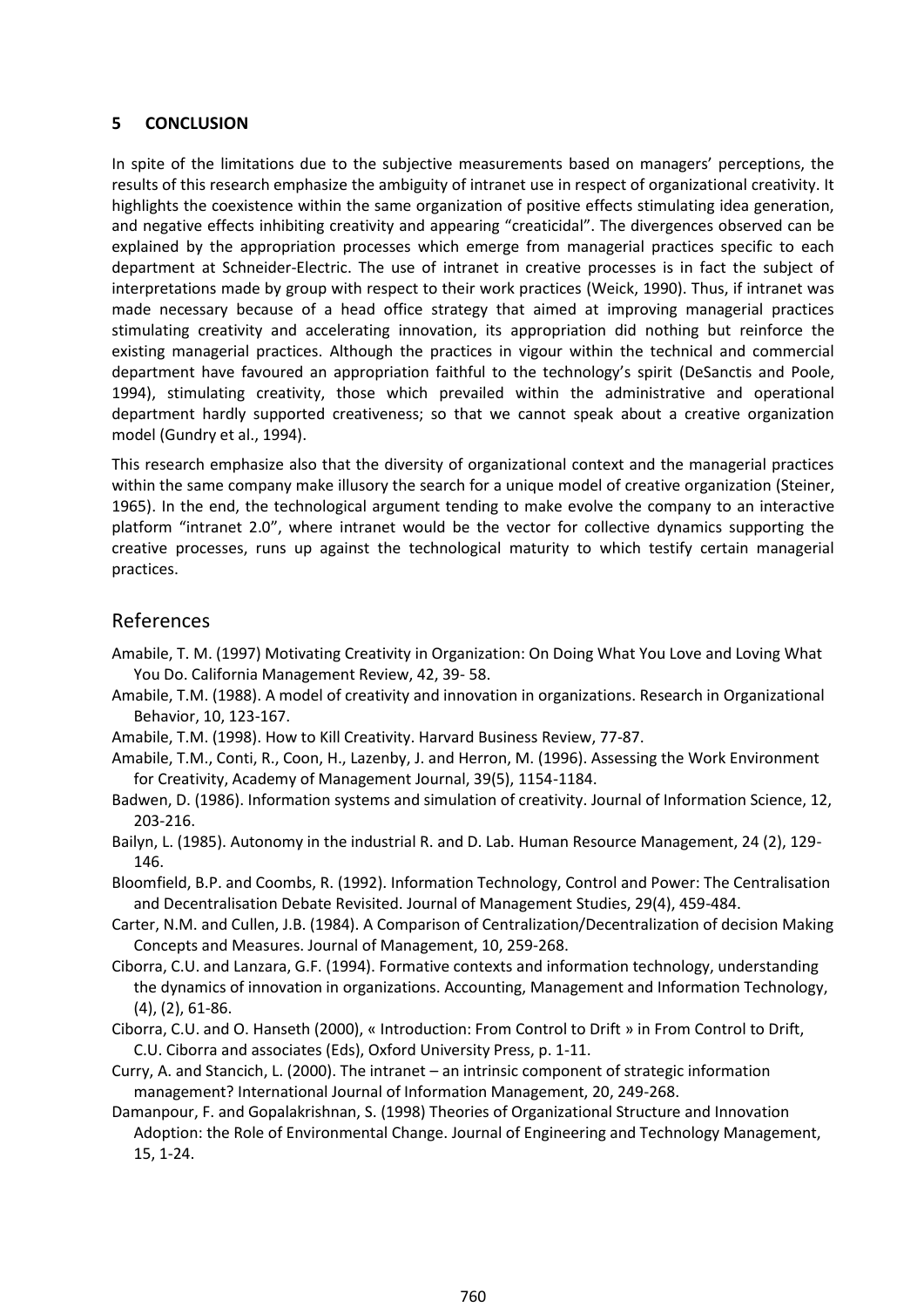#### **5 CONCLUSION**

In spite of the limitations due to the subjective measurements based on managers' perceptions, the results of this research emphasize the ambiguity of intranet use in respect of organizational creativity. It highlights the coexistence within the same organization of positive effects stimulating idea generation, and negative effects inhibiting creativity and appearing "creaticidal". The divergences observed can be explained by the appropriation processes which emerge from managerial practices specific to each department at Schneider-Electric. The use of intranet in creative processes is in fact the subject of interpretations made by group with respect to their work practices (Weick, 1990). Thus, if intranet was made necessary because of a head office strategy that aimed at improving managerial practices stimulating creativity and accelerating innovation, its appropriation did nothing but reinforce the existing managerial practices. Although the practices in vigour within the technical and commercial department have favoured an appropriation faithful to the technology's spirit (DeSanctis and Poole, 1994), stimulating creativity, those which prevailed within the administrative and operational department hardly supported creativeness; so that we cannot speak about a creative organization model (Gundry et al., 1994).

This research emphasize also that the diversity of organizational context and the managerial practices within the same company make illusory the search for a unique model of creative organization (Steiner, 1965). In the end, the technological argument tending to make evolve the company to an interactive platform "intranet 2.0", where intranet would be the vector for collective dynamics supporting the creative processes, runs up against the technological maturity to which testify certain managerial practices.

### References

- Amabile, T. M. (1997) Motivating Creativity in Organization: On Doing What You Love and Loving What You Do. California Management Review, 42, 39- 58.
- Amabile, T.M. (1988). A model of creativity and innovation in organizations. Research in Organizational Behavior, 10, 123-167.
- Amabile, T.M. (1998). How to Kill Creativity. Harvard Business Review, 77-87.
- Amabile, T.M., Conti, R., Coon, H., Lazenby, J. and Herron, M. (1996). Assessing the Work Environment for Creativity, Academy of Management Journal, 39(5), 1154-1184.
- Badwen, D. (1986). Information systems and simulation of creativity. Journal of Information Science, 12, 203-216.
- Bailyn, L. (1985). Autonomy in the industrial R. and D. Lab. Human Resource Management, 24 (2), 129- 146.
- Bloomfield, B.P. and Coombs, R. (1992). Information Technology, Control and Power: The Centralisation and Decentralisation Debate Revisited. Journal of Management Studies, 29(4), 459-484.
- Carter, N.M. and Cullen, J.B. (1984). A Comparison of Centralization/Decentralization of decision Making Concepts and Measures. Journal of Management, 10, 259-268.
- Ciborra, C.U. and Lanzara, G.F. (1994). Formative contexts and information technology, understanding the dynamics of innovation in organizations. Accounting, Management and Information Technology, (4), (2), 61-86.
- Ciborra, C.U. and O. Hanseth (2000), « Introduction: From Control to Drift » in From Control to Drift, C.U. Ciborra and associates (Eds), Oxford University Press, p. 1-11.
- Curry, A. and Stancich, L. (2000). The intranet an intrinsic component of strategic information management? International Journal of Information Management, 20, 249-268.
- Damanpour, F. and Gopalakrishnan, S. (1998) Theories of Organizational Structure and Innovation Adoption: the Role of Environmental Change. Journal of Engineering and Technology Management, 15, 1-24.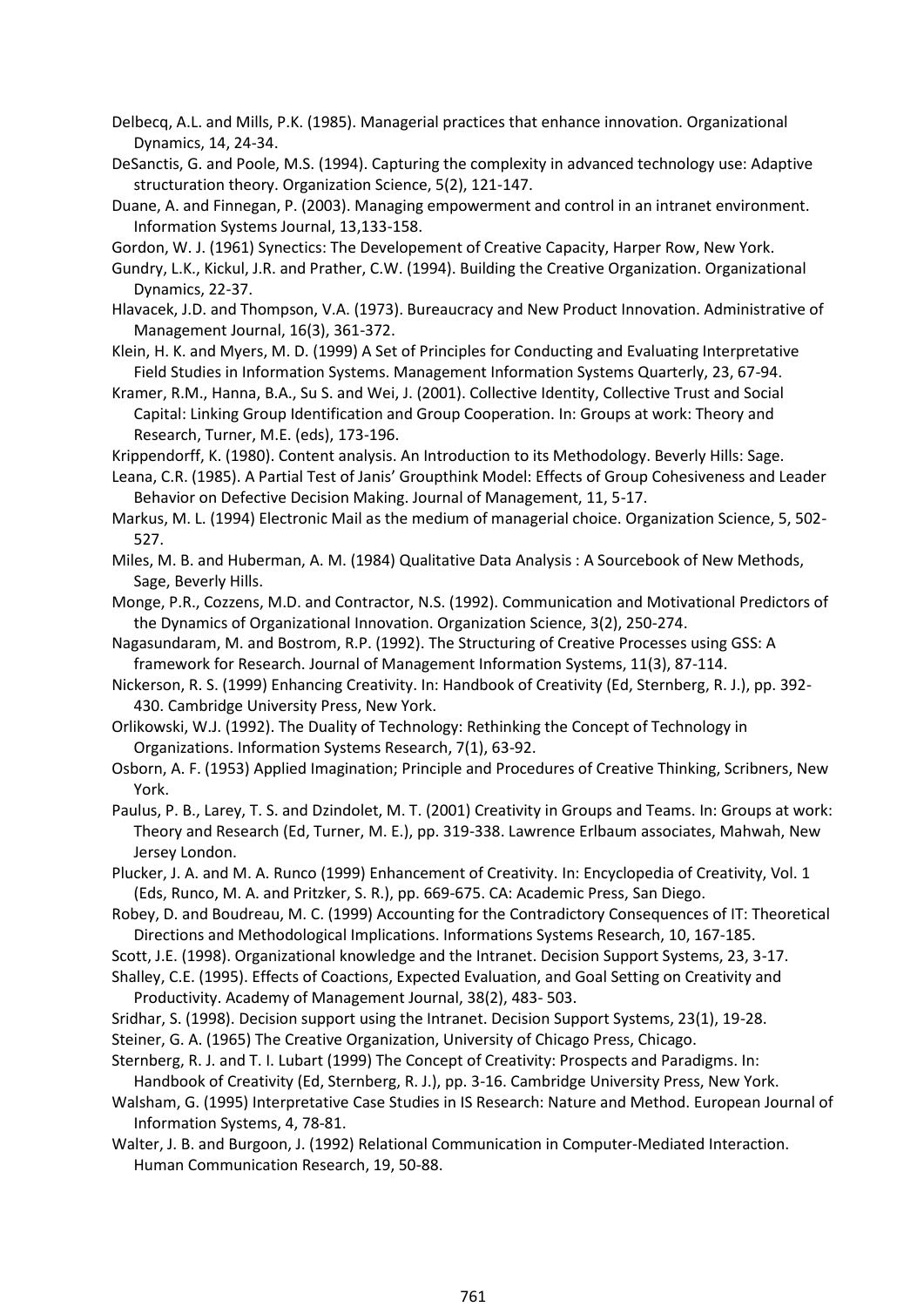- Delbecq, A.L. and Mills, P.K. (1985). Managerial practices that enhance innovation. Organizational Dynamics, 14, 24-34.
- DeSanctis, G. and Poole, M.S. (1994). Capturing the complexity in advanced technology use: Adaptive structuration theory. Organization Science, 5(2), 121-147.
- Duane, A. and Finnegan, P. (2003). Managing empowerment and control in an intranet environment. Information Systems Journal, 13,133-158.
- Gordon, W. J. (1961) Synectics: The Developement of Creative Capacity, Harper Row, New York.
- Gundry, L.K., Kickul, J.R. and Prather, C.W. (1994). Building the Creative Organization. Organizational Dynamics, 22-37.
- Hlavacek, J.D. and Thompson, V.A. (1973). Bureaucracy and New Product Innovation. Administrative of Management Journal, 16(3), 361-372.
- Klein, H. K. and Myers, M. D. (1999) A Set of Principles for Conducting and Evaluating Interpretative Field Studies in Information Systems. Management Information Systems Quarterly, 23, 67-94.
- Kramer, R.M., Hanna, B.A., Su S. and Wei, J. (2001). Collective Identity, Collective Trust and Social Capital: Linking Group Identification and Group Cooperation. In: Groups at work: Theory and Research, Turner, M.E. (eds), 173-196.
- Krippendorff, K. (1980). Content analysis. An Introduction to its Methodology. Beverly Hills: Sage.
- Leana, C.R. (1985). A Partial Test of Janis' Groupthink Model: Effects of Group Cohesiveness and Leader Behavior on Defective Decision Making. Journal of Management, 11, 5-17.
- Markus, M. L. (1994) Electronic Mail as the medium of managerial choice. Organization Science, 5, 502- 527.
- Miles, M. B. and Huberman, A. M. (1984) Qualitative Data Analysis : A Sourcebook of New Methods, Sage, Beverly Hills.
- Monge, P.R., Cozzens, M.D. and Contractor, N.S. (1992). Communication and Motivational Predictors of the Dynamics of Organizational Innovation. Organization Science, 3(2), 250-274.
- Nagasundaram, M. and Bostrom, R.P. (1992). The Structuring of Creative Processes using GSS: A framework for Research. Journal of Management Information Systems, 11(3), 87-114.
- Nickerson, R. S. (1999) Enhancing Creativity. In: Handbook of Creativity (Ed, Sternberg, R. J.), pp. 392- 430. Cambridge University Press, New York.
- Orlikowski, W.J. (1992). The Duality of Technology: Rethinking the Concept of Technology in Organizations. Information Systems Research, 7(1), 63-92.
- Osborn, A. F. (1953) Applied Imagination; Principle and Procedures of Creative Thinking, Scribners, New York.
- Paulus, P. B., Larey, T. S. and Dzindolet, M. T. (2001) Creativity in Groups and Teams. In: Groups at work: Theory and Research (Ed, Turner, M. E.), pp. 319-338. Lawrence Erlbaum associates, Mahwah, New Jersey London.
- Plucker, J. A. and M. A. Runco (1999) Enhancement of Creativity. In: Encyclopedia of Creativity, Vol. 1 (Eds, Runco, M. A. and Pritzker, S. R.), pp. 669-675. CA: Academic Press, San Diego.
- Robey, D. and Boudreau, M. C. (1999) Accounting for the Contradictory Consequences of IT: Theoretical Directions and Methodological Implications. Informations Systems Research, 10, 167-185.
- Scott, J.E. (1998). Organizational knowledge and the Intranet. Decision Support Systems, 23, 3-17.
- Shalley, C.E. (1995). Effects of Coactions, Expected Evaluation, and Goal Setting on Creativity and Productivity. Academy of Management Journal, 38(2), 483- 503.
- Sridhar, S. (1998). Decision support using the Intranet. Decision Support Systems, 23(1), 19-28.
- Steiner, G. A. (1965) The Creative Organization, University of Chicago Press, Chicago.
- Sternberg, R. J. and T. I. Lubart (1999) The Concept of Creativity: Prospects and Paradigms. In: Handbook of Creativity (Ed, Sternberg, R. J.), pp. 3-16. Cambridge University Press, New York.
- Walsham, G. (1995) Interpretative Case Studies in IS Research: Nature and Method. European Journal of Information Systems, 4, 78-81.
- Walter, J. B. and Burgoon, J. (1992) Relational Communication in Computer-Mediated Interaction. Human Communication Research, 19, 50-88.